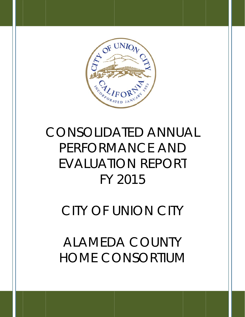

# CONSOLIDATED ANNUAL PERFORMANCE AND EVALUATION REPORT FY 201 5 D<br>RT<br>Y

# CITY OF UNION CITY

**ALAMEDA COUNTY HOME** CONSORTIUM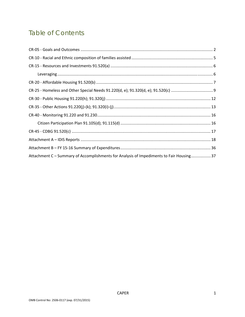## **Table of Contents**

| Attachment C - Summary of Accomplishments for Analysis of Impediments to Fair Housing37 |  |
|-----------------------------------------------------------------------------------------|--|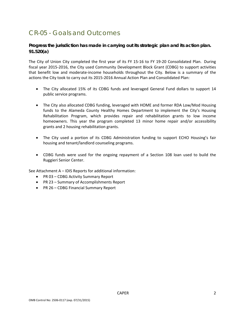## CR-05 - Goals and Outcomes

## **Progress the jurisdiction has made in carrying out its strategic plan and its action plan. 91.520(a)**

The City of Union City completed the first year of its FY 15-16 to FY 19-20 Consolidated Plan. During fiscal year 2015-2016, the City used Community Development Block Grant (CDBG) to support activities that benefit low and moderate‐income households throughout the City. Below is a summary of the actions the City took to carry out its 2015‐2016 Annual Action Plan and Consolidated Plan:

- The City allocated 15% of its CDBG funds and leveraged General Fund dollars to support 14 public service programs.
- The City also allocated CDBG funding, leveraged with HOME and former RDA Low/Mod Housing funds to the Alameda County Healthy Homes Department to implement the City's Housing Rehabilitation Program, which provides repair and rehabilitation grants to low income homeowners. This year the program completed 13 minor home repair and/or accessibility grants and 2 housing rehabilitation grants.
- The City used a portion of its CDBG Administration funding to support ECHO Housing's fair housing and tenant/landlord counseling programs.
- CDBG funds were used for the ongoing repayment of a Section 108 loan used to build the Ruggieri Senior Center.

See Attachment A – IDIS Reports for additional information:

- PR 03 CDBG Activity Summary Report
- PR 23 Summary of Accomplishments Report
- PR 26 CDBG Financial Summary Report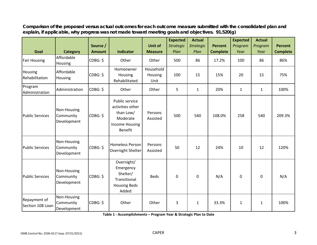|                                  |                                         | Source /      |                                                                                                 | <b>Unit of</b>               | <b>Expected</b><br><b>Strategic</b> | <b>Actual</b><br><b>Strategic</b> | <b>Percent</b>  | <b>Expected</b><br>Program | <b>Actual</b><br>Program | <b>Percent</b>  |
|----------------------------------|-----------------------------------------|---------------|-------------------------------------------------------------------------------------------------|------------------------------|-------------------------------------|-----------------------------------|-----------------|----------------------------|--------------------------|-----------------|
| Goal                             | <b>Category</b>                         | <b>Amount</b> | <b>Indicator</b>                                                                                | <b>Measure</b>               | Plan                                | Plan                              | <b>Complete</b> | Year                       | Year                     | <b>Complete</b> |
| <b>Fair Housing</b>              | Affordable<br>Housing                   | CDBG: \$      | Other                                                                                           | Other                        | 500                                 | 86                                | 17.2%           | 100                        | 86                       | 86%             |
| Housing<br>Rehabilitation        | Affordable<br>Housing                   | CDBG: \$      | Homeowner<br>Housing<br>Rehabilitated                                                           | Household<br>Housing<br>Unit | 100                                 | 15                                | 15%             | 20                         | 15                       | 75%             |
| Program<br>Administration        | Administration                          | CDBG: \$      | Other                                                                                           | Other                        | 5                                   | $\mathbf{1}$                      | 20%             | $\mathbf{1}$               | $\mathbf{1}$             | 100%            |
| <b>Public Services</b>           | Non-Housing<br>Community<br>Development | CDBG: \$      | Public service<br>activities other<br>than Low/<br>Moderate<br>Income Housing<br><b>Benefit</b> | Persons<br>Assisted          | 500                                 | 540                               | 108.0%          | 258                        | 540                      | 209.3%          |
| <b>Public Services</b>           | Non-Housing<br>Community<br>Development | CDBG: \$      | <b>Homeless Person</b><br>Overnight Shelter                                                     | Persons<br>Assisted          | 50                                  | 12                                | 24%             | 10                         | 12                       | 120%            |
| <b>Public Services</b>           | Non-Housing<br>Community<br>Development | CDBG: \$      | Overnight/<br>Emergency<br>Shelter/<br>Transitional<br><b>Housing Beds</b><br>Added             | <b>Beds</b>                  | 0                                   | 0                                 | N/A             | $\Omega$                   | $\mathbf 0$              | N/A             |
| Repayment of<br>Section 108 Loan | Non-Housing<br>Community<br>Development | CDBG: \$      | Other                                                                                           | Other                        | 3                                   | $\mathbf{1}$                      | 33.3%           | $\mathbf{1}$               | $\mathbf{1}$             | 100%            |

**Comparison of the proposed versus actual outcomes for each outcome measure submitted with the consolidated plan and explain, if applicable, why progress was not made toward meeting goals and objectives. 91.520(g)**

**Table 1 ‐ Accomplishments – Program Year & Strategic Plan to Date**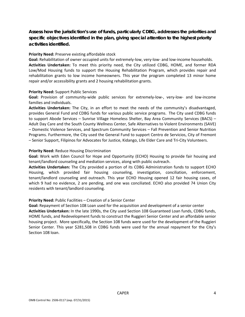**Assess how the jurisdiction's use of funds, particularly CDBG, addresses the priorities and specific objectives identified in the plan, giving special attention to the highest priority activities identified.** 

### **Priority Need:** Preserve existing affordable stock

Goal: Rehabilitation of owner occupied units for extremely-low, very-low- and low-income households. **Activities Undertaken:** To meet this priority need, the City utilized CDBG, HOME, and former RDA Low/Mod Housing funds to support the Housing Rehabilitation Program, which provides repair and rehabilitation grants to low income homeowners. This year the program completed 13 minor home repair and/or accessibility grants and 2 housing rehabilitation grants.

### **Priority Need:** Support Public Services

Goal: Provision of community-wide public services for extremely-low-, very-low- and low-income families and individuals.

**Activities Undertaken:** The City, in an effort to meet the needs of the community's disadvantaged, provides General Fund and CDBG funds for various public service programs. The City used CDBG funds to support Abode Services – Sunrise Village Homeless Shelter, Bay Area Community Services (BACS) – Adult Day Care and the South County Wellness Center, Safe Alternatives to Violent Environments (SAVE) – Domestic Violence Services, and Spectrum Community Services – Fall Prevention and Senior Nutrition Programs. Furthermore, the City used the General Fund to support Centro de Servicios, City of Fremont – Senior Support, Filipinos for Advocates for Justice, Kidango, Life Elder Care and Tri‐City Volunteers.

### **Priority Need:** Reduce Housing Discrimination

**Goal:** Work with Eden Council for Hope and Opportunity (ECHO) Housing to provide fair housing and tenant/landlord counseling and mediation services, along with public outreach.

**Activities Undertaken:** The City provided a portion of its CDBG Administration funds to support ECHO Housing, which provided fair housing counseling, investigation, conciliation, enforcement, tenant/landlord counseling and outreach. This year ECHO Housing opened 12 fair housing cases, of which 9 had no evidence, 2 are pending, and one was conciliated. ECHO also provided 74 Union City residents with tenant/landlord counseling.

## **Priority Need:** Public Facilities – Creation of a Senior Center

**Goal:** Repayment of Section 108 Loan used for the acquisition and development of a senior center **Activities Undertaken:** In the late 1990s, the City used Section 108 Guaranteed Loan funds, CDBG funds, HOME funds, and Redevelopment funds to construct the Ruggieri Senior Center and an affordable senior housing project. More specifically, the Section 108 funds were used for the development of the Ruggieri Senior Center. This year \$281,508 in CDBG funds were used for the annual repayment for the City's Section 108 loan.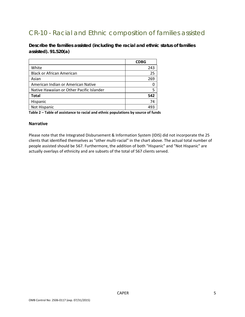## CR-10 - Racial and Ethnic composition of families assisted

**Describe the families assisted (including the racial and ethnic status of families assisted). 91.520(a)** 

|                                           | <b>CDBG</b> |
|-------------------------------------------|-------------|
| White                                     | 243         |
| <b>Black or African American</b>          | 25          |
| Asian                                     | 269         |
| American Indian or American Native        |             |
| Native Hawaiian or Other Pacific Islander |             |
| <b>Total</b>                              | 542         |
| Hispanic                                  | 74          |
| Not Hispanic                              |             |

**Table 2 – Table of assistance to racial and ethnic populations by source of funds**

## **Narrative**

Please note that the Integrated Disbursement & Information System (IDIS) did not incorporate the 25 clients that identified themselves as "other multi‐racial" in the chart above. The actual total number of people assisted should be 567. Furthermore, the addition of both "Hispanic" and "Not Hispanic" are actually overlays of ethnicity and are subsets of the total of 567 clients served.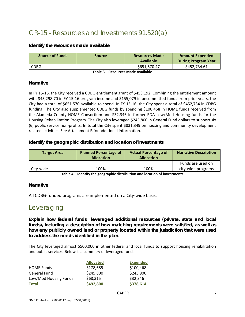## CR-15 - Resources and Investments 91.520(a)

## **Identify the resources made available**

| <b>Source of Funds</b> | <b>Source</b> | <b>Resources Made</b><br>Available | <b>Amount Expended</b><br><b>During Program Year</b> |
|------------------------|---------------|------------------------------------|------------------------------------------------------|
| <b>CDBG</b>            |               | \$651,570.47                       | \$452,734.61                                         |

**Table 3 – Resources Made Available**

## **Narrative**

In FY 15‐16, the City received a CDBG entitlement grant of \$453,192. Combining the entitlement amount with \$43,298.70 in FY 15-16 program income and \$155,079 in uncommitted funds from prior years, the City had a total of \$651,570 available to spend. In FY 15‐16, the City spent a total of \$452,734 in CDBG funding. The City also supplemented CDBG funds by spending \$100,468 in HOME funds received from the Alameda County HOME Consortium and \$32,346 in former RDA Low/Mod Housing funds for the Housing Rehabilitation Program. The City also leveraged \$245,800 in General Fund dollars to support six (6) public service non‐profits. In total the City spent \$831,349 on housing and community development related activities. See Attachment B for additional information.

## **Identify the geographic distribution and location of investments**

| <b>Target Area</b> | <b>Planned Percentage of</b><br><b>Allocation</b> | <b>Actual Percentage of</b><br><b>Allocation</b> | <b>Narrative Description</b>            |  |
|--------------------|---------------------------------------------------|--------------------------------------------------|-----------------------------------------|--|
| City-wide          | 100%                                              | 100%                                             | Funds are used on<br>city-wide programs |  |

**Table 4 – Identify the geographic distribution and location of investments**

## **Narrative**

All CDBG‐funded programs are implemented on a City‐wide basis.

## Leveraging

**Explain how federal funds leveraged additional resources (private, state and local funds), including a description of how matching requirements were satisfied, as well as how any publicly owned land or property located within the jurisdiction that were used to address the needs identified in the plan**.

The City leveraged almost \$500,000 in other federal and local funds to support housing rehabilitation and public services. Below is a summary of leveraged funds:

|                       | <b>Allocated</b> | <b>Expended</b> |
|-----------------------|------------------|-----------------|
| <b>HOME Funds</b>     | \$178,685        | \$100,468       |
| General Fund          | \$245,800        | \$245,800       |
| Low/Mod Housing Funds | \$68,315         | \$32,346        |
| <b>Total</b>          | \$492,800        | \$378,614       |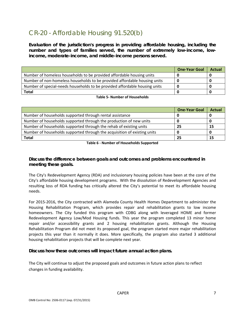## CR-20 - Affordable Housing 91.520(b)

**Evaluation of the jurisdiction's progress in providing affordable housing, including the number and types of families served, the number of extremely low-income, lowincome, moderate-income, and middle-income persons served.** 

|                                                                            | <b>One-Year Goal</b> | <b>Actual</b> |
|----------------------------------------------------------------------------|----------------------|---------------|
| Number of homeless households to be provided affordable housing units      |                      |               |
| Number of non-homeless households to be provided affordable housing units  |                      |               |
| Number of special-needs households to be provided affordable housing units |                      |               |
| <b>Total</b>                                                               |                      |               |

## **Table 5‐ Number of Households**

|                                                                          | <b>One-Year Goal</b> | <b>Actual</b> |
|--------------------------------------------------------------------------|----------------------|---------------|
| Number of households supported through rental assistance                 |                      |               |
| Number of households supported through the production of new units       |                      |               |
| Number of households supported through the rehab of existing units       | 25                   | 15            |
| Number of households supported through the acquisition of existing units |                      |               |
| <b>Total</b>                                                             | 25                   | 15            |

### **Table 6 ‐ Number of Households Supported**

## **Discuss the difference between goals and outcomes and problems encountered in meeting these goals.**

The City's Redevelopment Agency (RDA) and inclusionary housing policies have been at the core of the City's affordable housing development programs. With the dissolution of Redevelopment Agencies and resulting loss of RDA funding has critically altered the City's potential to meet its affordable housing needs.

For 2015‐2016, the City contracted with Alameda County Health Homes Department to administer the Housing Rehabilitation Program, which provides repair and rehabilitation grants to low income homeowners. The City funded this program with CDBG along with leveraged HOME and former Redevelopment Agency Low/Mod Housing funds. This year the program completed 13 minor home repair and/or accessibility grants and 2 housing rehabilitation grants. Although the Housing Rehabilitation Program did not meet its proposed goal, the program started more major rehabilitation projects this year than it normally it does. More specifically, the program also started 3 additional housing rehabilitation projects that will be complete next year.

## **Discuss how these outcomes will impact future annual action plans.**

The City will continue to adjust the proposed goals and outcomes in future action plans to reflect changes in funding availability.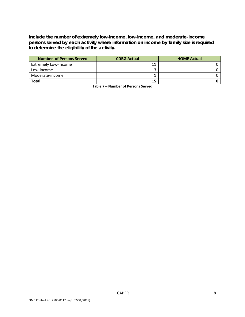**Include the number of extremely low-income, low-income, and moderate-income persons served by each activity where information on income by family size is required to determine the eligibility of the activity.** 

| Number of Persons Served    | <b>CDBG Actual</b> | <b>HOME Actual</b> |
|-----------------------------|--------------------|--------------------|
| <b>Extremely Low-income</b> |                    |                    |
| Low-income                  |                    |                    |
| Moderate-income             |                    |                    |
| <b>Total</b>                | 15                 |                    |

**Table 7 – Number of Persons Served**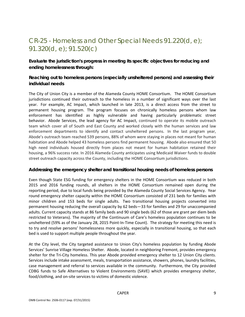## CR-25 - Homeless and Other Special Needs 91.220(d, e); 91.320(d, e); 91.520(c)

**Evaluate the jurisdiction's progress in meeting its specific objectives for reducing and ending homelessness through:** 

## **Reaching out to homeless persons (especially unsheltered persons) and assessing their individual needs**

The City of Union City is a member of the Alameda County HOME Consortium. The HOME Consortium jurisdictions continued their outreach to the homeless in a number of significant ways over the last year. For example, AC Impact, which launched in late 2013, is a direct access from the street to permanent housing program. The program focuses on chronically homeless persons whom law enforcement has identified as highly vulnerable and having particularly problematic street behavior. Abode Services, the lead agency for AC Impact, continued to operate its mobile outreach team which cover all of South and East County and worked closely with the human services and law enforcement departments to identify and contact unsheltered persons. In the last program year, Abode's outreach team reached 539 persons, 88% of whom were staying in places not meant for human habitation and Abode helped 43 homeless persons find permanent housing. Abode also ensured that 50 high need individuals housed directly from places not meant for human habitation retained their housing, a 96% success rate. In 2016 Alameda County anticipates using Medicaid Waiver funds to double street outreach capacity across the County, including the HOME Consortium jurisdictions.

## **Addressing the emergency shelter and transitional housing needs of homeless persons**

Even though State ESG funding for emergency shelters in the HOME Consortium was reduced in both 2015 and 2016 funding rounds, all shelters in the HOME Consortium remained open during the reporting period, due to local funds being provided by the Alameda County Social Services Agency. Year round emergency shelter capacity within the HOME Consortium consisted of 231 beds for families with minor children and 153 beds for single adults. Two transitional housing projects converted into permanent housing reducing the overall capacity by 62 beds—33 for families and 29 for unaccompanied adults. Current capacity stands at 86 family beds and 90 single beds (62 of those are grant per diem beds restricted to Veterans). The majority of the Continuum of Care's homeless population continues to be unsheltered (59% as of the January 28, 2015 Point‐In‐Time Count). The strategy for meeting this need is to try and resolve persons' homelessness more quickly, especially in transitional housing, so that each bed is used to support multiple people throughout the year.

At the City level, the City targeted assistance to Union City's homeless population by funding Abode Services' Sunrise Village Homeless Shelter. Abode, located in neighboring Fremont, provides emergency shelter for the Tri-City homeless. This year Abode provided emergency shelter to 12 Union City clients. Services include intake assessment, meals, transportation assistance, showers, phones, laundry facilities, case management and referral to services available in the community. Furthermore, the City provided CDBG funds to Safe Alternatives to Violent Environments (SAVE) which provides emergency shelter, food/clothing, and on‐site services to victims of domestic violence.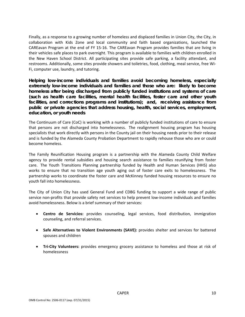Finally, as a response to a growing number of homeless and displaced families in Union City, the City, in collaboration with Kids Zone and local community and faith based organizations, launched the CAREavan Program at the end of FY 15‐16. The CAREavan Program provides families that are living in their vehicles safe places to park overnight. This program is available to families with children enrolled in the New Haven School District. All participating sites provide safe parking, a facility attendant, and restrooms. Additionally, some sites provide showers and toiletries, food, clothing, meal service, free Wi‐ Fi, computer use, laundry, and tutoring.

**Helping low-income individuals and families avoid becoming homeless, especially extremely low-income individuals and families and those who are: likely to become homeless after being discharged from publicly funded institutions and systems of care (such as health care facilities, mental health facilities, foster care and other youth facilities, and corrections programs and institutions); and, receiving assistance from public or private agencies that address housing, health, social services, employment, education, or youth needs** 

The Continuum of Care (CoC) is working with a number of publicly funded institutions of care to ensure that persons are not discharged into homelessness. The realignment housing program has housing specialists that work directly with persons in the County jail on their housing needs prior to their release and is funded by the Alameda County Probation Department to rapidly rehouse those who are or could become homeless.

The Family Reunification Housing program is a partnership with the Alameda County Child Welfare agency to provide rental subsidies and housing search assistance to families reunifying from foster care. The Youth Transitions Planning partnership funded by Health and Human Services (HHS) also works to ensure that no transition age youth aging out of foster care exits to homelessness. The partnership works to coordinate the foster care and McKinney funded housing resources to ensure no youth fall into homelessness.

The City of Union City has used General Fund and CDBG funding to support a wide range of public service non-profits that provide safety net services to help prevent low-income individuals and families avoid homelessness. Below is a brief summary of their services:

- **Centro de Servicios:** provides counseling, legal services, food distribution, immigration counseling, and referral services.
- **Safe Alternatives to Violent Environments (SAVE):** provides shelter and services for battered spouses and children
- **Tri‐City Volunteers:** provides emergency grocery assistance to homeless and those at risk of homelessness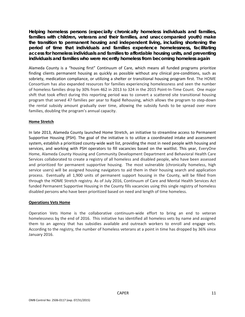**Helping homeless persons (especially chronically homeless individuals and families, families with children, veterans and their families, and unaccompanied youth) make the transition to permanent housing and independent living, including shortening the period of time that individuals and families experience homelessness, facilitating access for homeless individuals and families to affordable housing units, and preventing individuals and families who were recently homeless from becoming homeless again** 

Alameda County is a "housing first" Continuum of Care, which means all funded programs prioritize finding clients permanent housing as quickly as possible without any clinical pre-conditions, such as sobriety, medication compliance, or utilizing a shelter or transitional housing program first. The HOME Consortium has also expanded resources for families experiencing homelessness and seen the number of homeless families drop by 30% from 462 in 2013 to 324 in the 2015 Point‐In‐Time Count. One major shift that took effect during this reporting period was to convert a scattered site transitional housing program that served 47 families per year to Rapid Rehousing, which allows the program to step‐down the rental subsidy amount gradually over time, allowing the subsidy funds to be spread over more families, doubling the program's annual capacity.

## **Home Stretch**

In late 2013, Alameda County launched Home Stretch, an initiative to streamline access to Permanent Supportive Housing (PSH). The goal of the initiative is to utilize a coordinated intake and assessment system, establish a prioritized county-wide wait list, providing the most in need people with housing and services, and working with PSH operators to fill vacancies based on the waitlist. This year, EveryOne Home, Alameda County Housing and Community Development Department and Behavioral Health Care Services collaborated to create a registry of all homeless and disabled people, who have been assessed and prioritized for permanent supportive housing. The most vulnerable (chronically homeless, high service users) will be assigned housing navigators to aid them in their housing search and application process. Eventually all 1,900 units of permanent support housing in the County, will be filled from through the HOME Stretch registry. As of July 2016, Continuum of Care and Mental Health Services Act funded Permanent Supportive Housing in the County fills vacancies using this single registry of homeless disabled persons who have been prioritized based on need and length of time homeless.

## **Operations Vets Home**

Operation Vets Home is the collaborative continuum‐wide effort to bring an end to veteran homelessness by the end of 2016. This initiative has identified all homeless vets by name and assigned them to an agency that has subsidies available and outreach workers to enroll and engage vets. According to the registry, the number of homeless veterans at a point in time has dropped by 36% since January 2016.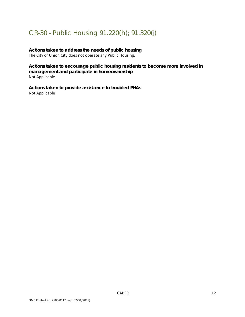## CR-30 - Public Housing 91.220(h); 91.320(j)

## **Actions taken to address the needs of public housing**

The City of Union City does not operate any Public Housing.

**Actions taken to encourage public housing residents to become more involved in management and participate in homeownership**  Not Applicable

**Actions taken to provide assistance to troubled PHAs**  Not Applicable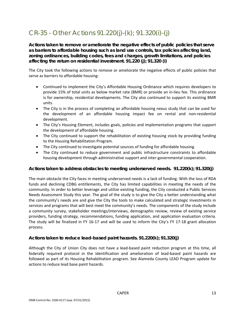## CR-35 - Other Actions 91.220(j)-(k); 91.320(i)-(j)

**Actions taken to remove or ameliorate the negative effects of public policies that serve as barriers to affordable housing such as land use controls, tax policies affecting land, zoning ordinances, building codes, fees and charges, growth limitations, and policies affecting the return on residential investment. 91.220 (j); 91.320 (i)** 

The City took the following actions to remove or ameliorate the negative effects of public policies that serve as barriers to affordable housing:

- Continued to implement the City's Affordable Housing Ordinance which requires developers to provide 15% of total units as below market rate (BMR) or provide an in‐lieu fee. This ordinance is for ownership, residential developments. The City also continued to support its existing BMR units.
- The City is in the process of completing an affordable housing nexus study that can be used for the development of an affordable housing impact fee on rental and non‐residential development.
- The City's Housing Element, includes goals, policies and implementation programs that support the development of affordable housing.
- The City continued to support the rehabilitation of existing housing stock by providing funding to the Housing Rehabilitation Program.
- The City continued to investigate potential sources of funding for affordable housing.
- The City continued to reduce government and public infrastructure constraints to affordable housing development through administrative support and inter‐governmental cooperation.

## **Actions taken to address obstacles to meeting underserved needs. 91.220(k); 91.320(j)**

The main obstacle the City faces in meeting underserved needs is a lack of funding. With the loss of RDA funds and declining CDBG entitlements, the City has limited capabilities in meeting the needs of the community. In order to better leverage and utilize existing funding, the City conducted a Public Services Needs Assessment Study this year. The goal of the study is to give the City a better understanding what the community's needs are and give the City the tools to make calculated and strategic investments in services and programs that will best meet the community's needs. The components of the study include a community survey, stakeholder meetings/interviews, demographic review, review of existing service providers, funding strategy, recommendations, funding application, and application evaluation criteria. The study will be finalized in FY 16‐17 and will be used to inform the City's FY 17‐18 grant allocation process.

## **Actions taken to reduce lead-based paint hazards. 91.220(k); 91.320(j)**

Although the City of Union City does not have a lead‐based paint reduction program at this time, all federally required protocol in the identification and amelioration of lead‐based paint hazards are followed as part of its Housing Rehabilitation program. See Alameda County LEAD Program update for actions to reduce lead base paint hazards.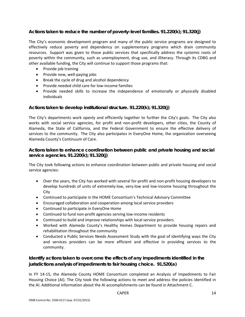## **Actions taken to reduce the number of poverty-level families. 91.220(k); 91.320(j)**

The City's economic development program and many of the public service programs are designed to effectively reduce poverty and dependency on supplementary programs which drain community resources. Support was given to those public services that specifically address the systemic roots of poverty within the community, such as unemployment, drug use, and illiteracy. Through its CDBG and other available funding, the City will continue to support those programs that:

- Provide job training
- Provide new, well-paying jobs
- Break the cycle of drug and alcohol dependency
- Provide needed child care for low-income families
- Provide needed skills to increase the independence of emotionally or physically disabled individuals

## **Actions taken to develop institutional structure. 91.220(k); 91.320(j)**

The City's departments work openly and efficiently together to further the City's goals. The City also works with social service agencies, for profit and non-profit developers, other cities, the County of Alameda, the State of California, and the Federal Government to ensure the effective delivery of services to the community. The City also participates in EveryOne Home, the organization overseeing Alameda County's Continuum of Care.

## **Actions taken to enhance coordination between public and private housing and social service agencies. 91.220(k); 91.320(j)**

The City took following actions to enhance coordination between public and private housing and social service agencies:

- Over the years, the City has worked with several for-profit and non-profit housing developers to develop hundreds of units of extremely‐low, very‐low and low‐income housing throughout the City
- Continued to participate in the HOME Consortium's Technical Advisory Committee
- Encouraged collaboration and cooperation among local service providers
- Continued to participate in EveryOne Home
- Continued to fund non-profit agencies serving low-income residents
- Continued to build and improve relationships with local service providers
- Worked with Alameda County's Healthy Homes Department to provide housing repairs and rehabilitation throughout the community
- Conducted a Public Services Needs Assessment Study with the goal of identifying ways the City and services providers can be more efficient and effective in providing services to the community.

## **Identify actions taken to overcome the effects of any impediments identified in the jurisdictions analysis of impediments to fair housing choice. 91.520(a)**

In FY 14‐15, the Alameda County HOME Consortium completed an Analysis of Impediments to Fair Housing Choice (AI). The City took the following actions to meet and address the policies identified in the AI. Additional information about the AI accomplishments can be found in Attachment C.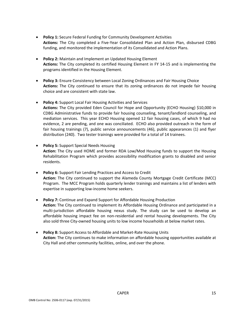- **Policy 1:** Secure Federal Funding for Community Development Activities **Actions:** The City completed a Five‐Year Consolidated Plan and Action Plan, disbursed CDBG funding, and monitored the implementation of its Consolidated and Action Plans.
- **Policy 2:** Maintain and Implement an Updated Housing Element **Actions:** The City completed its certified Housing Element in FY 14‐15 and is implementing the programs identified in the Housing Element.
- **Policy 3:** Ensure Consistency between Local Zoning Ordinances and Fair Housing Choice **Actions:** The City continued to ensure that its zoning ordinances do not impede fair housing choice and are consistent with state law.
- **Policy 4:** Support Local Fair Housing Activities and Services **Actions:** The City provided Eden Council for Hope and Opportunity (ECHO Housing) \$10,000 in CDBG Administrative funds to provide fair housing counseling, tenant/landlord counseling, and mediation services. This year ECHO Housing opened 12 fair housing cases, of which 9 had no evidence, 2 are pending, and one was conciliated. ECHO also provided outreach in the form of fair housing trainings (7), public service announcements (46), public appearances (1) and flyer distribution (240). Two tester trainings were provided for a total of 14 trainees.
- **Policy 5:** Support Special Needs Housing **Action:** The City used HOME and former RDA Low/Mod Housing funds to support the Housing Rehabilitation Program which provides accessibility modification grants to disabled and senior residents.
- **Policy 6:** Support Fair Lending Practices and Access to Credit **Action:** The City continued to support the Alameda County Mortgage Credit Certificate (MCC) Program. The MCC Program holds quarterly lender trainings and maintains a list of lenders with expertise in supporting low‐income home seekers.
- **Policy 7:** Continue and Expand Support for Affordable Housing Production **Action:** The City continued to implement its Affordable Housing Ordinance and participated in a multi-jurisdiction affordable housing nexus study. The study can be used to develop an affordable housing impact fee on non-residential and rental housing developments. The City also sold three City‐owned housing units to low income households at below market rates.
- **Policy 8:** Support Access to Affordable and Market‐Rate Housing Units **Action:** The City continues to make information on affordable housing opportunities available at City Hall and other community facilities, online, and over the phone.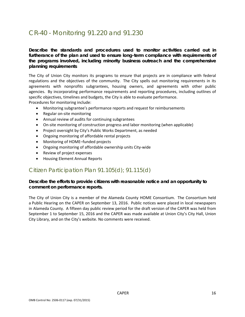## CR-40 - Monitoring 91.220 and 91.230

**Describe the standards and procedures used to monitor activities carried out in furtherance of the plan and used to ensure long-term compliance with requirements of the programs involved, including minority business outreach and the comprehensive planning requirements** 

The City of Union City monitors its programs to ensure that projects are in compliance with federal regulations and the objectives of the community. The City spells out monitoring requirements in its agreements with nonprofits subgrantees, housing owners, and agreements with other public agencies. By incorporating performance requirements and reporting procedures, including outlines of specific objectives, timelines and budgets, the City is able to evaluate performance. Procedures for monitoring include:

Monitoring subgrantee's performance reports and request for reimbursements

- Regular on-site monitoring
- Annual review of audits for continuing subgrantees
- On-site monitoring of construction progress and labor monitoring (when applicable)
- Project oversight by City's Public Works Department, as needed
- Ongoing monitoring of affordable rental projects
- Monitoring of HOME–funded projects
- Ongoing monitoring of affordable ownership units City-wide
- Review of project expenses
- Housing Element Annual Reports

## Citizen Participation Plan 91.105(d); 91.115(d)

## **Describe the efforts to provide citizens with reasonable notice and an opportunity to comment on performance reports.**

The City of Union City is a member of the Alameda County HOME Consortium. The Consortium held a Public Hearing on the CAPER on September 13, 2016. Public notices were placed in local newspapers in Alameda County. A fifteen day public review period for the draft version of the CAPER was held from September 1 to September 15, 2016 and the CAPER was made available at Union City's City Hall, Union City Library, and on the City's website. No comments were received.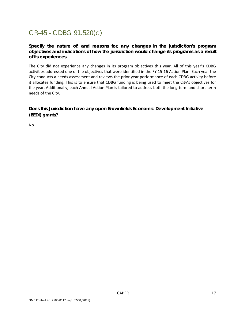## CR-45 - CDBG 91.520(c)

**Specify the nature of, and reasons for, any changes in the jurisdiction's program objectives and indications of how the jurisdiction would change its programs as a result of its experiences.** 

The City did not experience any changes in its program objectives this year. All of this year's CDBG activities addressed one of the objectives that were identified in the FY 15‐16 Action Plan. Each year the City conducts a needs assessment and reviews the prior year performance of each CDBG activity before it allocates funding. This is to ensure that CDBG funding is being used to meet the City's objectives for the year. Additionally, each Annual Action Plan is tailored to address both the long‐term and short‐term needs of the City.

**Does this Jurisdiction have any open Brownfields Economic Development Initiative (BEDI) grants?** 

No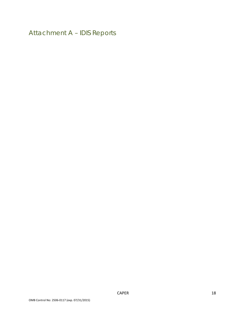Attachment A – IDIS Reports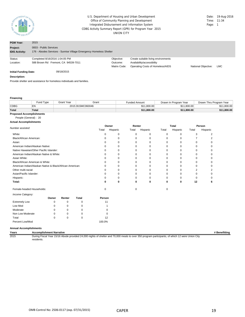

#### CDBG Activity Summary Report (GPR) for Program Year 2015 UNION CITY U.S. Department of Housing and Urban Development **Date: 19-Aug-2016** Date: 19-Aug-2016<br>
Office of Community Planning and Development **Date:** 11:34 Office of Community Planning and Development Integrated Disbursement and Information System **Page: 1** Page: 1

| <b>PGM Year:</b>                  | 2015                                                                                         |              |                                     |                     |            |
|-----------------------------------|----------------------------------------------------------------------------------------------|--------------|-------------------------------------|---------------------|------------|
| Project:<br><b>IDIS Activity:</b> | 0003 - Public Services<br>176 - Abodes Services - Sunrise Village Emergency Homeless Shelter |              |                                     |                     |            |
| Status:                           | Completed 8/16/2016 1:04:05 PM                                                               | Objective:   | Create suitable living environments |                     |            |
| Location:                         | 588 Brown Rd Fremont, CA 94539-7011                                                          | Outcome:     | Availability/accessibility          |                     |            |
|                                   |                                                                                              | Matrix Code: | Operating Costs of Homeless/AIDS    | National Objective: | <b>LMC</b> |
| Initial Funding Date:             | 09/18/2015                                                                                   |              |                                     |                     |            |

#### **Description:**

Provide shelter and assistance for homeless individuals and families.

#### **Financing**

|              | Fund Type | Grant Year | Grant            | Funded Amount | Drawn In Program Year | Drawn Thru Program Year |
|--------------|-----------|------------|------------------|---------------|-----------------------|-------------------------|
| CDBG         | EN        |            | 2015 B15MC060046 | \$11,800.00   | \$11,800.00           | \$11,800.00             |
| <b>Total</b> | Total     |            |                  | \$11.800.00   | \$11,800.00           | \$11,800,00             |
| $\sim$<br>.  | .         |            |                  |               |                       |                         |

### **Proposed Accomplishments**

#### People (General) : 20 **Actual Accomplishments**

|                                                          |       |        |              |          | Owner       |       | Renter   |          | <b>Total</b> |          | Person   |
|----------------------------------------------------------|-------|--------|--------------|----------|-------------|-------|----------|----------|--------------|----------|----------|
| Number assisted:                                         |       |        |              | Total    | Hispanic    | Total | Hispanic | Total    | Hispanic     | Total    | Hispanic |
| White:                                                   |       |        |              | $\Omega$ | 0           | 0     | 0        | $\Omega$ | 0            | 3        | 2        |
| Black/African American:                                  |       |        |              |          | $\mathbf 0$ | 0     | 0        | $\Omega$ | $\Omega$     | 7        | 2        |
| Asian:                                                   |       |        |              |          | $\mathbf 0$ | 0     | $\Omega$ | $\Omega$ | 0            | $\Omega$ | O        |
| American Indian/Alaskan Native:                          |       |        |              |          | $\mathbf 0$ | 0     | $\Omega$ | 0        | 0            | 0        |          |
| Native Hawaiian/Other Pacific Islander:                  |       |        |              |          | $\mathbf 0$ | 0     | 0        | 0        | 0            | 0        |          |
| American Indian/Alaskan Native & White:                  |       |        |              |          | $\mathbf 0$ | 0     | 0        | 0        | 0            | 0        |          |
| Asian White:                                             |       |        |              |          | $\Omega$    | 0     | $\Omega$ | $\Omega$ | $\Omega$     | 0        | Ω        |
| Black/African American & White:                          |       |        |              |          | $\Omega$    | 0     | 0        | 0        | 0            | 0        |          |
| American Indian/Alaskan Native & Black/African American: |       |        |              |          | $\Omega$    | 0     | $\Omega$ | 0        | $\Omega$     | 0        |          |
| Other multi-racial:                                      |       |        |              |          | $\Omega$    | 0     | $\Omega$ | $\Omega$ | $\Omega$     | 2        |          |
| Asian/Pacific Islander:                                  |       |        |              |          | $\Omega$    | 0     | $\Omega$ | $\Omega$ | $\Omega$     | $\Omega$ |          |
| Hispanic:                                                |       |        |              |          | $\Omega$    | 0     | $\Omega$ | 0        | $\Omega$     | $\Omega$ |          |
| Total:                                                   |       |        |              | ŋ        | 0           | 0     | 0        | 0        | 0            | 12       |          |
| Female-headed Households:                                |       |        |              | $\Omega$ |             | 0     |          | $\Omega$ |              |          |          |
| Income Category:                                         |       |        |              |          |             |       |          |          |              |          |          |
|                                                          | Owner | Renter | <b>Total</b> | Person   |             |       |          |          |              |          |          |
| <b>Extremely Low</b>                                     | 0     | 0      | 0            | 11       |             |       |          |          |              |          |          |
| Low Mod                                                  | 0     | 0      | 0            |          |             |       |          |          |              |          |          |
| Moderate                                                 | 0     | 0      | 0            |          | n           |       |          |          |              |          |          |
| Non Low Moderate                                         | 0     | 0      | 0            |          | n           |       |          |          |              |          |          |
| Total                                                    | 0     | 0      | 0            | 12       |             |       |          |          |              |          |          |
| Percent Low/Mod                                          |       |        |              | 100.0%   |             |       |          |          |              |          |          |

#### **Annual Accomplishments**

**Years Accomplishment Narrative # Benefitting**

2015 During Fiscal Year 15/16 Abode provided 24,000 nights of shelter and 70,000 meals to over 350 program participants, of which 12 were Union City residents.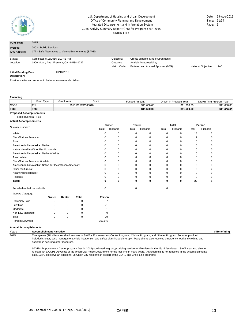

#### CDBG Activity Summary Report (GPR) for Program Year 2015 UNION CITY U.S. Department of Housing and Urban Development Office of Community Planning and Development Integrated Disbursement and Information System

| Date: | 19-Aug-2016 |
|-------|-------------|
| Time: | $-11:34$    |
| Page: |             |

| <b>PGM Year:</b>                             | 2015                                                                             |                                        |                                                                                                        |                     |            |  |
|----------------------------------------------|----------------------------------------------------------------------------------|----------------------------------------|--------------------------------------------------------------------------------------------------------|---------------------|------------|--|
| Project:<br><b>IDIS Activity:</b>            | 0003 - Public Services<br>177 - Safe Alternatives to Violent Environments (SAVE) |                                        |                                                                                                        |                     |            |  |
| Status:<br>Location:                         | Completed 8/16/2016 1:03:43 PM<br>1900 Mowry Ave Fremont, CA 94538-1722          | Objective:<br>Outcome:<br>Matrix Code: | Create suitable living environments<br>Availability/accessibility<br>Battered and Abused Spouses (05G) | National Objective: | <b>LMC</b> |  |
| <b>Initial Funding Date:</b><br>Description: | 09/18/2015                                                                       |                                        |                                                                                                        |                     |            |  |
|                                              |                                                                                  |                                        |                                                                                                        |                     |            |  |

Provide shelter and services to battered women and children.

#### **Financing**

|                                 | Fund Type    | Grant Year | Grant            | <b>Funded Amount</b> | Drawn In Program Year | Drawn Thru Program Year |  |  |  |  |
|---------------------------------|--------------|------------|------------------|----------------------|-----------------------|-------------------------|--|--|--|--|
| <b>CDBG</b>                     | EN           |            | 2015 B15MC060046 | \$11,600,00          | \$11,600.00           | \$11,600.00             |  |  |  |  |
| <b>Total</b>                    | <b>Total</b> |            |                  | \$11,600,00          | \$11,600,00           | \$11,600.00             |  |  |  |  |
| <b>Proposed Accomplishments</b> |              |            |                  |                      |                       |                         |  |  |  |  |

## People (General) : 68

### **Actual Accomplishments**

|                                                          |          |        | Owner        |          | Renter   |          | <b>Total</b> |          | Person   |          |          |
|----------------------------------------------------------|----------|--------|--------------|----------|----------|----------|--------------|----------|----------|----------|----------|
| Number assisted:                                         |          |        |              | Total    | Hispanic | Total    | Hispanic     | Total    | Hispanic | Total    | Hispanic |
| White:                                                   |          |        |              | O        | 0        | 0        | 0            | 0        | 0        | 13       | 6        |
| Black/African American:                                  |          |        |              |          | $\Omega$ | $\Omega$ | $\Omega$     | $\Omega$ | $\Omega$ | 2        | $\Omega$ |
| Asian:                                                   |          |        |              |          | $\Omega$ | $\Omega$ | $\Omega$     | $\Omega$ | $\Omega$ | 5        |          |
| American Indian/Alaskan Native:                          |          |        |              |          | $\Omega$ | 0        | $\Omega$     | 0        | 0        | $\Omega$ |          |
| Native Hawaiian/Other Pacific Islander:                  |          |        |              |          | $\Omega$ | $\Omega$ | $\Omega$     | 0        | 0        | 0        |          |
| American Indian/Alaskan Native & White:                  |          |        |              |          | $\Omega$ | $\Omega$ | $\Omega$     | $\Omega$ | $\Omega$ | 0        |          |
| Asian White:                                             |          |        |              |          | $\Omega$ | 0        | $\Omega$     | 0        | $\Omega$ | $\Omega$ |          |
| Black/African American & White:                          |          |        |              |          | 0        | 0        | 0            | 0        | 0        |          |          |
| American Indian/Alaskan Native & Black/African American: |          |        |              | O        | 0        | 0        | $\Omega$     | $\Omega$ | $\Omega$ | $\Omega$ | n        |
| Other multi-racial:                                      |          |        |              | O        | $\Omega$ | 0        | 0            | $\Omega$ | 0        | 9        |          |
| Asian/Pacific Islander:                                  |          |        |              | $\Omega$ | $\Omega$ | 0        | 0            | 0        | $\Omega$ | 0        | n        |
| Hispanic:                                                |          |        |              | O        | 0        | 0        | 0            | 0        | $\Omega$ |          |          |
| Total:                                                   |          |        |              | 0        | 0        | 0        | 0            | 0        | 0        | 29       |          |
| Female-headed Households:                                |          |        |              | $\Omega$ |          | 0        |              | 0        |          |          |          |
| Income Category:                                         |          |        |              |          |          |          |              |          |          |          |          |
|                                                          | Owner    | Renter | <b>Total</b> | Person   |          |          |              |          |          |          |          |
| <b>Extremely Low</b>                                     | $\Omega$ | 0      | 0            |          |          |          |              |          |          |          |          |
| Low Mod                                                  | O        | 0      | $\Omega$     | 21       |          |          |              |          |          |          |          |
| Moderate                                                 | n        | 0      | $\Omega$     |          |          |          |              |          |          |          |          |
| Non Low Moderate                                         | O        | 0      | $\Omega$     |          |          |          |              |          |          |          |          |
| Total                                                    | $\Omega$ | 0      | $\Omega$     | 29       |          |          |              |          |          |          |          |
| Percent Low/Mod                                          |          |        |              | 100.0%   |          |          |              |          |          |          |          |

#### **Annual Accomplishments**

**Years Accomplishment Narrative # Benefitting** 2015 Twenty-nine (29) clients received services in SAVE's Empowerment Center Program, Clinical Program, and Shelter Program. Services provided included shelter, case management, crisis intervention and safety planning and therapy. Many clients also received emergency food and clothing and assistance securing other resources.

> SAVE's Empowerment Center program (est. in 2014) continued to grow, providing service to 320 clients in the 15/16 fiscal year. SAVE was also able to re-establish a COPS Advocate at the Union City Police Department for the first time in many years. Although this is not reflected in the accomplishments data, SAVE did serve an additional 38 Union City residents in as part of the COPS and Crisis Line programs.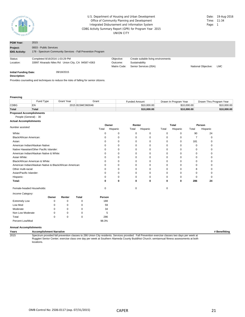

#### CDBG Activity Summary Report (GPR) for Program Year 2015 UNION CITY U.S. Department of Housing and Urban Development Date: 19-Aug-2016 Office of Community Planning and Development Time: 11:34 Integrated Disbursement and Information System **Page: 1** Page: 1

| <b>PGM Year:</b>                             | 2015                                                                                                                   |                                        |                                                                                |                     |     |  |
|----------------------------------------------|------------------------------------------------------------------------------------------------------------------------|----------------------------------------|--------------------------------------------------------------------------------|---------------------|-----|--|
| Project:<br><b>IDIS Activity:</b>            | 0003 - Public Services<br>178 - Spectrum Community Services - Fall Prevention Program                                  |                                        |                                                                                |                     |     |  |
| Status:<br>Location:                         | Completed 8/16/2016 1:03:29 PM<br>33997 Alvarado Niles Rd Union City, CA 94587-4363                                    | Objective:<br>Outcome:<br>Matrix Code: | Create suitable living environments<br>Sustainability<br>Senior Services (05A) | National Objective: | LMC |  |
| <b>Initial Funding Date:</b><br>Description: | 09/18/2015                                                                                                             |                                        |                                                                                |                     |     |  |
|                                              | Basil Adolf Control of Protocol descriptions of a construction of the Control of Protocol of Construction of the Const |                                        |                                                                                |                     |     |  |

Provides counseling and techniques to reduce the risks of falling for senior citizens.

#### **Financing**

|                                 | Fund Type | Grant Year | Grant            | <b>Funded Amount</b> | Drawn In Program Year | Drawn Thru Program Year |  |  |  |  |
|---------------------------------|-----------|------------|------------------|----------------------|-----------------------|-------------------------|--|--|--|--|
| <b>CDBG</b>                     | EN        |            | 2015 B15MC060046 | \$10,000,00          | \$10,000,00           | \$10,000.00             |  |  |  |  |
| <b>Total</b>                    | Total     |            |                  | \$10,000,00          | \$10,000,00           | \$10,000.00             |  |  |  |  |
| <b>Proposed Accomplishments</b> |           |            |                  |                      |                       |                         |  |  |  |  |

#### People (General) : 30 **Actual Accomplishments**

|                                                          |       |        |              |        | Owner    |             | Renter      |          | <b>Total</b> | Person   |          |
|----------------------------------------------------------|-------|--------|--------------|--------|----------|-------------|-------------|----------|--------------|----------|----------|
| Number assisted:                                         |       |        |              | Total  | Hispanic | Total       | Hispanic    | Total    | Hispanic     | Total    | Hispanic |
| White:                                                   |       |        |              | 0      | 0        | $\Omega$    | 0           | $\Omega$ | $\Omega$     | 90       | 24       |
| Black/African American:                                  |       |        |              | 0      | 0        | $\Omega$    | $\mathbf 0$ | $\Omega$ | 0            | 7        | $\Omega$ |
| Asian:                                                   |       |        |              | 0      | 0        | $\Omega$    | 0           | $\Omega$ | 0            | 181      | $\Omega$ |
| American Indian/Alaskan Native:                          |       |        |              | 0      | $\Omega$ | $\Omega$    | $\Omega$    | $\Omega$ | $\Omega$     | $\Omega$ | $\Omega$ |
| Native Hawaiian/Other Pacific Islander:                  |       |        |              | 0      | 0        | $\Omega$    | 0           | 0        | 0            | $\Omega$ | 0        |
| American Indian/Alaskan Native & White:                  |       |        |              | n      | $\Omega$ | $\Omega$    | 0           | $\Omega$ | 0            | $\Omega$ | 0        |
| Asian White:                                             |       |        |              |        | 0        | $\Omega$    | $\mathbf 0$ | $\Omega$ |              | $\Omega$ | n        |
| Black/African American & White:                          |       |        |              | 0      | 0        | $\Omega$    | $\Omega$    | $\Omega$ | 0            | $\Omega$ | 0        |
| American Indian/Alaskan Native & Black/African American: |       |        |              | n      | $\Omega$ | n           | $\Omega$    | 0        |              | ი        | ი        |
| Other multi-racial:                                      |       |        |              | 0      | 0        | $\Omega$    | 0           | $\Omega$ | 0            | 8        | ი        |
| Asian/Pacific Islander:                                  |       |        |              | 0      | 0        | $\Omega$    | $\mathbf 0$ | $\Omega$ | n            | $\Omega$ | ი        |
| Hispanic:                                                |       |        |              | 0      | 0        | $\Omega$    | $\mathbf 0$ | $\Omega$ | $\Omega$     | $\Omega$ | O        |
| Total:                                                   |       |        |              | 0      | 0        | $\bf{0}$    | 0           | 0        | 0            | 286      | 24       |
| Female-headed Households:                                |       |        |              | 0      |          | $\mathbf 0$ |             | 0        |              |          |          |
| Income Category:                                         |       |        |              |        |          |             |             |          |              |          |          |
|                                                          | Owner | Renter | <b>Total</b> | Person |          |             |             |          |              |          |          |
| <b>Extremely Low</b>                                     | 0     | 0      | 0            | 188    |          |             |             |          |              |          |          |
| Low Mod                                                  | 0     | 0      | $\Omega$     | 59     |          |             |             |          |              |          |          |
| Moderate                                                 | 0     | 0      | 0            | 34     |          |             |             |          |              |          |          |
| Non Low Moderate                                         | 0     | 0      | 0            |        | 5        |             |             |          |              |          |          |
| Total                                                    | 0     | 0      | 0            | 286    |          |             |             |          |              |          |          |
| Percent Low/Mod                                          |       |        |              | 98.3%  |          |             |             |          |              |          |          |

#### **Annual Accomplishments**

**Years Accomplishment Narrative # Benefitting** Spectrum provided fall prevention classes to 286 Union City residents. Services provided: Fall Prevention exercise classes two days per week at Ruggieri Senior Center; exercise class one day per week at Southern Alameda County Buddhist Church; semiannual fitness assessments at both locations.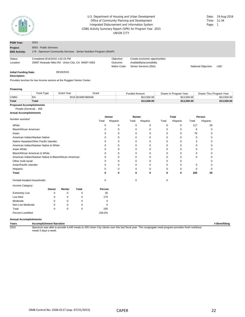

#### CDBG Activity Summary Report (GPR) for Program Year 2015 UNION CITY U.S. Department of Housing and Urban Development **Date: 19-Aug-2016** Date: 19-Aug-2016<br>
Office of Community Planning and Development **Date:** 11:34 Office of Community Planning and Development Integrated Disbursement and Information System **Page: 1** Page: 1

| <b>PGM Year:</b>                  | 2015                                                                                          |                                        |                                                                                      |                     |            |
|-----------------------------------|-----------------------------------------------------------------------------------------------|----------------------------------------|--------------------------------------------------------------------------------------|---------------------|------------|
| Project:<br><b>IDIS Activity:</b> | 0003 - Public Services<br>179 - Spectrum Community Services - Senior Nutrition Program (SNAP) |                                        |                                                                                      |                     |            |
| Status:<br>Location:              | Completed 8/16/2016 1:03:15 PM<br>33997 Alvarado Niles Rd Union City, CA 94587-4363           | Objective:<br>Outcome:<br>Matrix Code: | Create economic opportunities<br>Availability/accessibility<br>Senior Services (05A) | National Obiective: | <b>LMC</b> |
| <b>Initial Funding Date:</b>      | 09/18/2015                                                                                    |                                        |                                                                                      |                     |            |

#### **Description:**

Provides lunches for low income seniors at the Ruggieri Senior Center.

#### **Financing**

|                                 | Fund Type | Grant Year | Grant            | Funded Amount | Drawn In Program Year | Drawn Thru Program Year |  |  |  |  |
|---------------------------------|-----------|------------|------------------|---------------|-----------------------|-------------------------|--|--|--|--|
| <b>CDBG</b>                     | EN        |            | 2015 B15MC060046 | \$13,500.00   | \$13,500.00           | \$13.500.00             |  |  |  |  |
| <b>Total</b>                    | Total     |            |                  | \$13,500,00   | \$13,500.00           | \$13,500.00             |  |  |  |  |
| <b>Proposed Accomplishments</b> |           |            |                  |               |                       |                         |  |  |  |  |

#### People (General) : 400

#### **Actual Accomplishments**

|                                                          |          |        | Owner        |          | Renter   |             | <b>Total</b> |             | Person      |          |          |
|----------------------------------------------------------|----------|--------|--------------|----------|----------|-------------|--------------|-------------|-------------|----------|----------|
| Number assisted:                                         |          |        |              | Total    | Hispanic | Total       | Hispanic     | Total       | Hispanic    | Total    | Hispanic |
| White:                                                   |          |        |              | $\Omega$ | 0        | $\mathbf 0$ | $\mathbf 0$  | $\mathbf 0$ | $\mathbf 0$ | 117      | 29       |
| Black/African American:                                  |          |        |              |          | 0        | 0           | 0            | 0           | 0           | 6        | 0        |
| Asian:                                                   |          |        |              |          | 0        | $\mathbf 0$ | 0            | $\mathbf 0$ | 0           | 79       | O        |
| American Indian/Alaskan Native:                          |          |        |              | 0        | 0        | 0           | 0            | 0           | 0           | 0        |          |
| Native Hawaiian/Other Pacific Islander:                  |          |        |              | $\Omega$ | 0        | 0           | 0            | 0           | 0           | 3        |          |
| American Indian/Alaskan Native & White:                  |          |        |              | $\Omega$ | 0        | 0           | 0            | 0           | 0           | 0        |          |
| Asian White:                                             |          |        |              | $\Omega$ | 0        | 0           | 0            | $\Omega$    | 0           | 0        |          |
| Black/African American & White:                          |          |        |              | $\Omega$ | $\Omega$ | 0           | $\Omega$     | $\Omega$    | 0           | $\Omega$ |          |
| American Indian/Alaskan Native & Black/African American: |          |        |              |          | $\Omega$ | $\Omega$    | $\Omega$     | $\Omega$    | $\Omega$    | $\Omega$ |          |
| Other multi-racial:                                      |          |        |              |          | $\Omega$ | $\Omega$    | $\Omega$     | n           | $\Omega$    |          |          |
| Asian/Pacific Islander:                                  |          |        |              | $\Omega$ | 0        | $\mathbf 0$ | 0            | 0           | 0           | 0        |          |
| Hispanic:                                                |          |        |              | $\Omega$ | 0        | $\mathbf 0$ | $\Omega$     | $\Omega$    | 0           | $\Omega$ |          |
| Total:                                                   |          |        |              | 0        | 0        | 0           | 0            | 0           | 0           | 205      | 29       |
| Female-headed Households:                                |          |        |              | 0        |          | $\mathbf 0$ |              | 0           |             |          |          |
| Income Category:                                         |          |        |              |          |          |             |              |             |             |          |          |
|                                                          | Owner    | Renter | <b>Total</b> | Person   |          |             |              |             |             |          |          |
| <b>Extremely Low</b>                                     | O        | 0      | 0            | 35       |          |             |              |             |             |          |          |
| Low Mod                                                  | n        | 0      | $\Omega$     | 170      |          |             |              |             |             |          |          |
| Moderate                                                 | $\Omega$ | 0      | 0            | $\Omega$ |          |             |              |             |             |          |          |
| Non Low Moderate                                         | 0        | 0      | ŋ            | $\Omega$ |          |             |              |             |             |          |          |
| Total                                                    | $\Omega$ | 0      | $\mathbf 0$  | 205      |          |             |              |             |             |          |          |
| Percent Low/Mod                                          |          |        |              | 100.0%   |          |             |              |             |             |          |          |

#### **Annual Accomplishments**

**Years Accomplishment Narrative # Benefitting** Spectrum was able to provide 4,445 meals to 205 Union City clients over this last fiscal year. The congregate meal program provides fresh nutritious meals 5 days a week.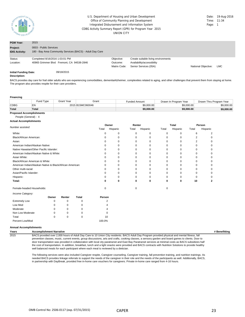

#### CDBG Activity Summary Report (GPR) for Program Year 2015 UNION CITY U.S. Department of Housing and Urban Development Communication Control of the Date: 19-Aug-2016 Office of Community Planning and Development Time: 11:34 Integrated Disbursement and Information System **Page: 1** Page: 1

| <b>PGM Year:</b>                             | 2015                                                      |              |                                     |                            |            |
|----------------------------------------------|-----------------------------------------------------------|--------------|-------------------------------------|----------------------------|------------|
| Project:                                     | 0003 - Public Services                                    |              |                                     |                            |            |
| <b>IDIS Activity:</b>                        | 180 - Bay Area Community Services (BACS) - Adult Day Care |              |                                     |                            |            |
| Status:                                      | Completed 8/16/2016 1:03:01 PM                            | Objective:   | Create suitable living environments |                            |            |
| Location:                                    | 40965 Grimmer Blvd Fremont, CA 94538-2846                 | Outcome:     | Availability/accessibility          |                            |            |
|                                              |                                                           | Matrix Code: | Senior Services (05A)               | <b>National Objective:</b> | <b>LMC</b> |
| <b>Initial Funding Date:</b><br>Decerintion: | 09/18/2015                                                |              |                                     |                            |            |

#### **Description:**

BACS provides day care for frail older adults who are experiencing comorbidities, dementiaAlzheimer, complexities related to aging, and other challenges that prevent them from staying at home. The program also provides respite for their care providers.

#### **Financing**

|                                 | Fund Type    | <b>Grant Year</b> | Grant            | Funded Amount | Drawn In Program Year | Drawn Thru Program Year |
|---------------------------------|--------------|-------------------|------------------|---------------|-----------------------|-------------------------|
| <b>CDBG</b>                     | EN           |                   | 2015 B15MC060046 | \$9,000.00    | \$9.000.00            | \$9,000.00              |
| Total                           | <b>Total</b> |                   |                  | \$9,000.00    | \$9.000.00            | \$9,000.00              |
| <b>Proposed Accomplishments</b> |              |                   |                  |               |                       |                         |

#### People (General) : 4 **Actual Accomplishments**

|                                                          |          | Owner  |              |          | Renter   |          | Total       |          | Person   |          |          |  |
|----------------------------------------------------------|----------|--------|--------------|----------|----------|----------|-------------|----------|----------|----------|----------|--|
| Number assisted:                                         |          |        |              | Total    | Hispanic | Total    | Hispanic    | Total    | Hispanic | Total    | Hispanic |  |
| White:                                                   |          |        |              | O        | $\Omega$ | $\Omega$ | 0           | 0        | 0        | 6        | 2        |  |
| Black/African American:                                  |          |        |              |          | 0        | 0        | $\mathbf 0$ | 0        | 0        | 2        | $\Omega$ |  |
| Asian:                                                   |          |        |              |          | $\Omega$ | $\Omega$ | $\Omega$    | $\Omega$ | $\Omega$ | 2        |          |  |
| American Indian/Alaskan Native:                          |          |        |              |          | 0        | 0        | $\Omega$    | 0        | 0        | $\Omega$ |          |  |
| Native Hawaiian/Other Pacific Islander:                  |          |        |              |          | $\Omega$ | $\Omega$ | $\Omega$    | $\Omega$ | 0        | 0        |          |  |
| American Indian/Alaskan Native & White:                  |          |        |              |          | $\Omega$ | 0        | $\Omega$    | 0        | $\Omega$ | 0        |          |  |
| Asian White:                                             |          |        |              | O        | $\Omega$ | $\Omega$ | $\Omega$    | $\Omega$ | $\Omega$ | $\Omega$ | ŋ        |  |
| Black/African American & White:                          |          |        |              | O        | 0        | 0        | $\mathbf 0$ | 0        | 0        |          |          |  |
| American Indian/Alaskan Native & Black/African American: |          |        |              | O        | $\Omega$ | $\Omega$ | $\Omega$    | $\Omega$ | $\Omega$ | 0        | n        |  |
| Other multi-racial:                                      |          |        |              | O        | $\Omega$ | 0        | 0           | $\Omega$ | $\Omega$ | 0        |          |  |
| Asian/Pacific Islander:                                  |          |        |              | O        | $\Omega$ | 0        | $\Omega$    | $\Omega$ | $\Omega$ | 0        |          |  |
| Hispanic:                                                |          |        |              |          | 0        | 0        | 0           | 0        | $\Omega$ |          |          |  |
| Total:                                                   |          |        |              | 0        | 0        | 0        | 0           | 0        | 0        | 10       | 2        |  |
| Female-headed Households:                                |          |        |              | $\Omega$ |          | 0        |             | 0        |          |          |          |  |
| Income Category:                                         |          |        |              |          |          |          |             |          |          |          |          |  |
|                                                          | Owner    | Renter | <b>Total</b> | Person   |          |          |             |          |          |          |          |  |
| <b>Extremely Low</b>                                     | 0        | 0      | 0            | 2        |          |          |             |          |          |          |          |  |
| Low Mod                                                  | O        | 0      | $\Omega$     |          |          |          |             |          |          |          |          |  |
| Moderate                                                 | n        | 0      | $\Omega$     |          |          |          |             |          |          |          |          |  |
| Non Low Moderate                                         | n        | 0      | $\Omega$     |          |          |          |             |          |          |          |          |  |
| Total                                                    | $\Omega$ | 0      | $\Omega$     | 10       |          |          |             |          |          |          |          |  |
| Percent Low/Mod                                          |          |        |              | 100.0%   |          |          |             |          |          |          |          |  |

#### **Annual Accomplishments**

**Years Accomplishment Narrative # Benefitting** 2015 BACS provided over 2,000 hours of Adult Day Care to 10 Union City residents. BACS Adult Day Program provided physical and mental fitness, fall prevention classes, music, current events, group discussions, arts and crafts, cooking classes, a sensory garden and board games to clients. Door to door transportation was provided in collaboration with local city paratransit and East Bay Paratransit services at minimal costs as BACS subsidizes half the cost of transportation. In addition, breakfast, lunch and a light snacks were provided and BACS contracts with Nutrition Solutions to provide healthy well balanced meals for each participant where each meal is reviewed by a dietician.

> The following services were also included Caregiver respite, Caregiver counseling, Caregiver training, fall prevention training, and nutrition trainings. As needed BACS provides linkage referrals to support the needs of the caregiver in their role and the needs of the participants as well. Additionally, BACS, in partnership with DayBreak, provided free in-home care vouchers for caregivers. Private in-home care ranged from 4-16 hours.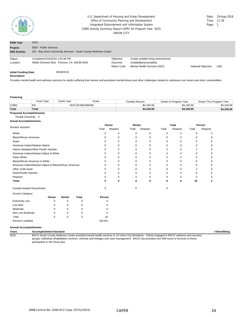

#### CDBG Activity Summary Report (GPR) for Program Year 2015 UNION CITY U.S. Department of Housing and Urban Development Date: 19-Aug-2016 Office of Community Planning and Development Time: 11:34 Integrated Disbursement and Information System **Page: 1** Page: 1

| <b>PGM Year:</b>             | 2015                                                             |              |                                     |                     |            |
|------------------------------|------------------------------------------------------------------|--------------|-------------------------------------|---------------------|------------|
| Project:                     | 0003 - Public Services                                           |              |                                     |                     |            |
| <b>IDIS Activity:</b>        | 181 - Bay Area Community Services - South County Wellness Center |              |                                     |                     |            |
| Status:                      | Completed 8/16/2016 1:02:48 PM                                   | Objective:   | Create suitable living environments |                     |            |
| Location:                    | 40965 Grimmer Blvd Fremont, CA 94538-2846                        | Outcome:     | Availability/accessibility          |                     |            |
|                              |                                                                  | Matrix Code: | Mental Health Services (05O)        | National Objective: | <b>LMC</b> |
| <b>Initial Funding Date:</b> | 09/18/2015                                                       |              |                                     |                     |            |
| Description:                 |                                                                  |              |                                     |                     |            |

Provides mental health and wellness services for adults suffering from severe and persistent mental illness and other challenges related to substance use issues and other comorbidities.

#### **Financing**

|                                 | Fund Type | <b>Grant Year</b> | Grant            | <b>Funded Amount</b> | Drawn In Program Year | Drawn Thru Program Year |
|---------------------------------|-----------|-------------------|------------------|----------------------|-----------------------|-------------------------|
| <b>CDBG</b>                     | EN        |                   | 2015 B15MC060046 | \$4,100.00           | \$4,100.00            | \$4.100.00              |
| <b>Total</b>                    | Total     |                   |                  | \$4,100.00           | \$4.100.00            | \$4,100.00              |
| <b>Proposed Accomplishments</b> |           |                   |                  |                      |                       |                         |

## People (General) : 5

## **Actual Accomplishments**

| Number assisted:                                         |        |             | Owner    |             |             | Renter   |       | <b>Total</b> |       | Person   |  |
|----------------------------------------------------------|--------|-------------|----------|-------------|-------------|----------|-------|--------------|-------|----------|--|
|                                                          |        |             | Total    | Hispanic    | Total       | Hispanic | Total | Hispanic     | Total | Hispanic |  |
| White:                                                   |        |             | 0        | $\mathbf 0$ | $\mathbf 0$ | 0        | 0     | 0            | 6     | 2        |  |
| Black/African American:                                  |        |             | 0        | 0           | 0           | 0        | 0     | 0            | 0     | 0        |  |
| Asian:                                                   |        |             | $\Omega$ | $\mathbf 0$ | 0           | 0        | 0     | 0            | 0     | ∩        |  |
| American Indian/Alaskan Native:                          |        |             | $\Omega$ | $\mathbf 0$ | 0           | ŋ        | 0     | 0            | 0     |          |  |
| Native Hawaiian/Other Pacific Islander:                  |        |             | U        | $\mathbf 0$ | 0           | 0        | 0     | 0            | 2     |          |  |
| American Indian/Alaskan Native & White:                  |        |             | U        | $\mathbf 0$ | 0           | ŋ        | 0     | 0            | 0     |          |  |
| Asian White:                                             |        |             | U        | $\mathbf 0$ | 0           | O        | 0     | 0            | 0     |          |  |
| Black/African American & White:                          |        |             |          | 0           | $\Omega$    | n        | 0     | 0            | 0     |          |  |
| American Indian/Alaskan Native & Black/African American: |        |             |          | $\Omega$    | $\Omega$    | O        | 0     | 0            | 0     |          |  |
| Other multi-racial:                                      |        |             |          | $\Omega$    | $\Omega$    | U        | 0     | 0            | 2     |          |  |
| Asian/Pacific Islander:                                  |        |             |          | $\mathbf 0$ | 0           | 0        | 0     | 0            | 0     |          |  |
| Hispanic:                                                |        |             |          | $\mathbf 0$ | $\Omega$    | 0        | 0     | 0            | 0     |          |  |
| Total:                                                   |        |             | 0        | 0           | 0           | 0        | 0     | 0            | 10    | 2        |  |
| Female-headed Households:                                |        |             | $\Omega$ |             | $\Omega$    |          | 0     |              |       |          |  |
| Income Category:                                         |        |             |          |             |             |          |       |              |       |          |  |
| Owner                                                    | Renter | Total       | Person   |             |             |          |       |              |       |          |  |
| <b>Extremely Low</b><br>O                                | 0      | $\Omega$    |          |             |             |          |       |              |       |          |  |
| Low Mod<br>0                                             | 0      | $\Omega$    | 6        |             |             |          |       |              |       |          |  |
| Moderate<br>0                                            | 0      | O           |          |             |             |          |       |              |       |          |  |
| Non Low Moderate<br>$\Omega$                             | 0      | n           |          |             |             |          |       |              |       |          |  |
| Total<br>$\Omega$                                        | 0      | $\mathbf 0$ | 10       |             |             |          |       |              |       |          |  |
| Percent Low/Mod                                          |        |             | 100.0%   |             |             |          |       |              |       |          |  |

#### **Annual Accomplishments**

**Years Accomplishment Narrative # Benefitting** 2015 BACS South County Wellness Center provided mental health services to 10 Union City Residents. Clients engaged in BACS' wellness and recovery groups, individual rehabilitative services, referrals and linkages and case management. BACS has provided over 600 hours of services to these participants in this fiscal year.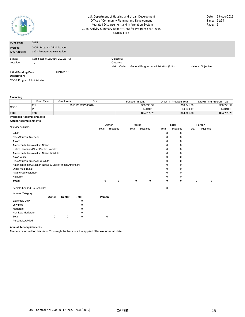

#### CDBG Activity Summary Report (GPR) for Program Year 2015 UNION CITY U.S. Department of Housing and Urban Development Office of Community Planning and Development Integrated Disbursement and Information System

| Date: | 19-Aug-2016 |
|-------|-------------|
| Time: | 11:34       |
| Page: | 1           |

| <b>PGM Year:</b>                             | 2015                           |              |                                      |                     |
|----------------------------------------------|--------------------------------|--------------|--------------------------------------|---------------------|
| Project:                                     | 0005 - Program Administration  |              |                                      |                     |
| <b>IDIS Activity:</b>                        | 182 - Program Administration   |              |                                      |                     |
| Status:                                      | Completed 8/16/2016 1:02:28 PM | Objective:   |                                      |                     |
| Location:                                    |                                | Outcome:     |                                      |                     |
|                                              |                                | Matrix Code: | General Program Administration (21A) | National Objective: |
| <b>Initial Funding Date:</b><br>Description: | 09/16/2015                     |              |                                      |                     |

CDBG Program Administration

#### **Financing**

|                                 | Fund Type | Grant Year       | Grant | <b>Funded Amount</b> | Drawn In Program Year | Drawn Thru Program Year |  |
|---------------------------------|-----------|------------------|-------|----------------------|-----------------------|-------------------------|--|
| <b>CDBG</b>                     | EN        | 2015 B15MC060046 |       | \$60.741.59          | \$60.741.59           | \$60,741.59             |  |
|                                 | P         |                  |       | \$4,040.19           | \$4,040.19            | \$4,040.19              |  |
| <b>Total</b>                    | Total     |                  |       | \$64.781.78          | \$64,781,78           | \$64,781.78             |  |
| <b>Proposed Accomplishments</b> |           |                  |       |                      |                       |                         |  |

#### **Actual Accomplishments**

|                                                          | Owner        |          | Renter |          | Total |             | Person |          |
|----------------------------------------------------------|--------------|----------|--------|----------|-------|-------------|--------|----------|
| Number assisted:                                         | Total        | Hispanic | Total  | Hispanic | Total | Hispanic    | Total  | Hispanic |
| White:                                                   |              |          |        |          | 0     | 0           |        |          |
| Black/African American:                                  |              |          |        |          | 0     | $\mathbf 0$ |        |          |
| Asian:                                                   |              |          |        |          | 0     | 0           |        |          |
| American Indian/Alaskan Native:                          |              |          |        |          | 0     | $\mathbf 0$ |        |          |
| Native Hawaiian/Other Pacific Islander:                  |              |          |        |          | 0     | 0           |        |          |
| American Indian/Alaskan Native & White:                  |              |          |        |          | 0     | $\mathbf 0$ |        |          |
| Asian White:                                             |              |          |        |          | 0     | $\Omega$    |        |          |
| Black/African American & White:                          |              |          |        |          | 0     | $\Omega$    |        |          |
| American Indian/Alaskan Native & Black/African American: |              |          |        |          | 0     | 0           |        |          |
| Other multi-racial:                                      |              |          |        |          | 0     | 0           |        |          |
| Asian/Pacific Islander:                                  |              |          |        |          | 0     | $\mathbf 0$ |        |          |
| Hispanic:                                                |              |          |        |          | 0     | $\mathbf 0$ |        |          |
| Total:                                                   | $\mathbf{0}$ | 0        | 0      | 0        | 0     | 0           | 0      | 0        |
| Female-headed Households:                                |              |          |        |          | 0     |             |        |          |

| Income Category:     |          |        |       |        |
|----------------------|----------|--------|-------|--------|
|                      | Owner    | Renter | Total | Person |
| <b>Extremely Low</b> |          |        | 0     |        |
| Low Mod              |          |        | 0     |        |
| Moderate             |          |        | 0     |        |
| Non Low Moderate     |          |        | 0     |        |
| Total                | $\Omega$ | 0      | 0     |        |
| Percent Low/Mod      |          |        |       |        |

#### **Annual Accomplishments**

No data returned for this view. This might be because the applied filter excludes all data.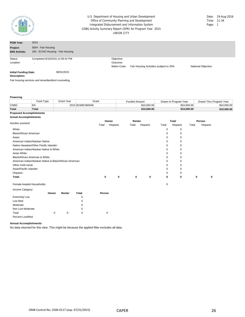

#### CDBG Activity Summary Report (GPR) for Program Year 2015 UNION CITY U.S. Department of Housing and Urban Development Office of Community Planning and Development Integrated Disbursement and Information System

| Date: | 19-Aug-2016 |
|-------|-------------|
| Time: | 11:34       |
| Page: | 1           |

| <b>PGM Year:</b>                             | 2015                                                 |              |                                              |                     |
|----------------------------------------------|------------------------------------------------------|--------------|----------------------------------------------|---------------------|
| Project:                                     | 0004 - Fair Housing                                  |              |                                              |                     |
| <b>IDIS Activity:</b>                        | 183 - ECHO Housing - Fair Housing                    |              |                                              |                     |
| Status:                                      | Completed 8/16/2016 12:59:42 PM                      | Objective:   |                                              |                     |
| Location:                                    |                                                      | Outcome:     |                                              |                     |
|                                              |                                                      | Matrix Code: | Fair Housing Activities (subject to 20%<br>. | National Objective: |
| <b>Initial Funding Date:</b><br>Description: | 08/31/2015                                           |              |                                              |                     |
|                                              | Fair housing services and tenantlandlord counseling. |              |                                              |                     |

#### **Financing**

|              | Fund Type | Grant Year | Grant            | Funded Amount | Drawn In Program Year | Drawn Thru Program Year |
|--------------|-----------|------------|------------------|---------------|-----------------------|-------------------------|
| <b>CDBG</b>  |           |            | 2015 B15MC060046 | \$10,000.00   | \$10,000.00           | \$10.000.00             |
| <b>Total</b> | Total     |            |                  | \$10,000,00   | \$10,000.00           | \$10,000,00             |

#### **Proposed Accomplishments Actual Accomplishments**

|                                                          |       | Owner       | Renter |          |             | Total    | Person |          |
|----------------------------------------------------------|-------|-------------|--------|----------|-------------|----------|--------|----------|
| Number assisted:                                         | Total | Hispanic    | Total  | Hispanic | Total       | Hispanic | Total  | Hispanic |
| White:                                                   |       |             |        |          | 0           | 0        |        |          |
| Black/African American:                                  |       |             |        |          | $\mathbf 0$ | 0        |        |          |
| Asian:                                                   |       |             |        |          | $\mathbf 0$ | 0        |        |          |
| American Indian/Alaskan Native:                          |       |             |        |          | 0           | 0        |        |          |
| Native Hawaiian/Other Pacific Islander:                  |       |             |        |          | 0           | 0        |        |          |
| American Indian/Alaskan Native & White:                  |       |             |        |          | 0           | 0        |        |          |
| Asian White:                                             |       |             |        |          | 0           | 0        |        |          |
| Black/African American & White:                          |       |             |        |          | 0           | 0        |        |          |
| American Indian/Alaskan Native & Black/African American: |       |             |        |          | 0           | $\Omega$ |        |          |
| Other multi-racial:                                      |       |             |        |          | 0           | 0        |        |          |
| Asian/Pacific Islander:                                  |       |             |        |          | 0           | O        |        |          |
| Hispanic:                                                |       |             |        |          | 0           | 0        |        |          |
| Total:                                                   | 0     | $\mathbf 0$ | 0      | 0        | 0           | 0        | 0      | 0        |
| Female-headed Households:                                |       |             |        |          | $\mathbf 0$ |          |        |          |

| Income Category:     |          |        |       |        |
|----------------------|----------|--------|-------|--------|
|                      | Owner    | Renter | Total | Person |
| <b>Extremely Low</b> |          |        | 0     |        |
| Low Mod              |          |        | 0     |        |
| Moderate             |          |        | 0     |        |
| Non Low Moderate     |          |        | 0     |        |
| Total                | $\Omega$ | 0      | 0     |        |
| Percent Low/Mod      |          |        |       |        |

#### **Annual Accomplishments**

No data returned for this view. This might be because the applied filter excludes all data.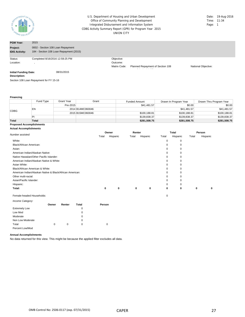

#### CDBG Activity Summary Report (GPR) for Program Year 2015 UNION CITY U.S. Department of Housing and Urban Development **Date: 19-Aug-2016** Date: 19-Aug-2016<br>
Office of Community Planning and Development **Date:** 11:34 Office of Community Planning and Development Integrated Disbursement and Information System **Page: 1** Page: 1

| <b>PGM Year:</b>                             | 2015                                                                         |                                        |                                  |                     |
|----------------------------------------------|------------------------------------------------------------------------------|----------------------------------------|----------------------------------|---------------------|
| Project:<br><b>IDIS Activity:</b>            | 0002 - Section 108 Loan Repayment<br>184 - Section 108 Loan Repayment (2015) |                                        |                                  |                     |
| Status:<br>Location:                         | Completed 8/16/2016 12:59:25 PM                                              | Objective:<br>Outcome:<br>Matrix Code: | Planned Repayment of Section 108 | National Objective: |
| <b>Initial Funding Date:</b><br>Description: | 08/31/2015                                                                   |                                        |                                  |                     |

Section 108 Loan Repayment for FY 15-16

#### **Financing**

|              | Fund Type | Grant Year | Grant            | <b>Funded Amount</b> | Drawn In Program Year | Drawn Thru Program Year |
|--------------|-----------|------------|------------------|----------------------|-----------------------|-------------------------|
|              |           | Pre-2015   |                  | \$41,481.57          | \$0.00                | \$0.00                  |
| <b>CDBG</b>  | EN        |            | 2014 B14MC060046 |                      | \$41,481.57           | \$41,481.57             |
|              |           |            | 2015 B15MC060046 | \$100,188.81         | \$100,188.81          | \$100,188.81            |
|              | PI        |            |                  | \$139,838.37         | \$139,838.37          | \$139,838.37            |
| <b>Total</b> | Total     |            |                  | \$281,508.75         | \$281,508.75          | \$281,508.75            |

#### **Proposed Accomplishments Actual Accomplishments**

|                                                          |       | Owner    | Renter |          |          | <b>Total</b> | Person |          |
|----------------------------------------------------------|-------|----------|--------|----------|----------|--------------|--------|----------|
| Number assisted:                                         | Total | Hispanic | Total  | Hispanic | Total    | Hispanic     | Total  | Hispanic |
| White:                                                   |       |          |        |          | 0        | 0            |        |          |
| Black/African American:                                  |       |          |        |          |          | 0            |        |          |
| Asian:                                                   |       |          |        |          | 0        | 0            |        |          |
| American Indian/Alaskan Native:                          |       |          |        |          | $\Omega$ | 0            |        |          |
| Native Hawaiian/Other Pacific Islander:                  |       |          |        |          | $\Omega$ | 0            |        |          |
| American Indian/Alaskan Native & White:                  |       |          |        |          |          |              |        |          |
| Asian White:                                             |       |          |        |          |          |              |        |          |
| Black/African American & White:                          |       |          |        |          | $\Omega$ | 0            |        |          |
| American Indian/Alaskan Native & Black/African American: |       |          |        |          | $\Omega$ | 0            |        |          |
| Other multi-racial:                                      |       |          |        |          | 0        | 0            |        |          |
| Asian/Pacific Islander:                                  |       |          |        |          | $\Omega$ | 0            |        |          |
| Hispanic:                                                |       |          |        |          |          | 0            |        |          |
| Total:                                                   | 0     | 0        | 0      | 0        | 0        | 0            | 0      | $\Omega$ |
| Female-headed Households:                                |       |          |        |          | 0        |              |        |          |

### *Income Category:*

| <i><b>INTOXING OUTGOIN.</b></i> |       |        |          |        |
|---------------------------------|-------|--------|----------|--------|
|                                 | Owner | Renter | Total    | Person |
| <b>Extremely Low</b>            |       |        | 0        |        |
| Low Mod                         |       |        | 0        |        |
| Moderate                        |       |        | 0        |        |
| Non Low Moderate                |       |        | $\Omega$ |        |
| Total                           | 0     | 0      | $\Omega$ | 0      |
| Percent Low/Mod                 |       |        |          |        |

#### **Annual Accomplishments**

No data returned for this view. This might be because the applied filter excludes all data.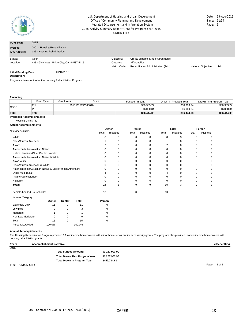

#### CDBG Activity Summary Report (GPR) for Program Year 2015 UNION CITY U.S. Department of Housing and Urban Development Office of Community Planning and Development Integrated Disbursement and Information System

| Date: | 19-Aug-2016 |
|-------|-------------|
| Time: | 11:34       |
| Page: | 1           |

| <b>PGM Year:</b>                             | 2015                                                          |                                        |                                                                                             |                     |     |  |
|----------------------------------------------|---------------------------------------------------------------|----------------------------------------|---------------------------------------------------------------------------------------------|---------------------|-----|--|
| Project:<br><b>IDIS Activity:</b>            | 0001 - Housing Rehabilitation<br>185 - Housing Rehabilitation |                                        |                                                                                             |                     |     |  |
| Status:<br>Location:                         | Open<br>4833 Gina Way Union City, CA 94587-5115               | Objective:<br>Outcome:<br>Matrix Code: | Create suitable living environments<br>Affordability<br>Rehabilitation Administration (14H) | National Objective: | LMH |  |
| <b>Initial Funding Date:</b><br>Description: | 09/16/2015                                                    |                                        |                                                                                             |                     |     |  |

Program administration for the Housing Rehabilitation Program

**Financing**

|                                           | Fund Type | Grant Year | Grant            | <b>Funded Amount</b> | Drawn In Program Year | Drawn Thru Program Year |
|-------------------------------------------|-----------|------------|------------------|----------------------|-----------------------|-------------------------|
| <b>CDBG</b>                               | ΕN        |            | 2015 B15MC060046 | \$30.383.74          | \$30.383.74           | \$30,383.74             |
|                                           |           |            |                  | \$6.060.34           | \$6,060.34            | \$6,060.34              |
| Total                                     | Total     |            |                  | \$36,444.08          | \$36,444.08           | \$36,444.08             |
| Description of Associated the Line scale. |           |            |                  |                      |                       |                         |

#### **Proposed Accomplishments**

Housing Units : 50 **Actual Accomplishments**

|                                                          |       | Renter<br>Owner |       |          |       | Total    | Person |          |  |
|----------------------------------------------------------|-------|-----------------|-------|----------|-------|----------|--------|----------|--|
| Number assisted:                                         | Total | Hispanic        | Total | Hispanic | Total | Hispanic | Total  | Hispanic |  |
| White:                                                   | 8     |                 |       |          | 8     |          |        |          |  |
| Black/African American:                                  |       |                 |       |          |       |          |        |          |  |
| Asian:                                                   |       |                 |       |          |       |          |        |          |  |
| American Indian/Alaskan Native:                          | 0     |                 |       |          |       |          |        |          |  |
| Native Hawaiian/Other Pacific Islander:                  | 0     |                 |       |          |       |          |        |          |  |
| American Indian/Alaskan Native & White:                  |       |                 |       |          |       |          |        |          |  |
| Asian White:                                             |       |                 |       |          |       |          |        |          |  |
| Black/African American & White:                          |       |                 |       |          |       |          |        |          |  |
| American Indian/Alaskan Native & Black/African American: | ∩     |                 | O     |          |       |          |        |          |  |
| Other multi-racial:                                      |       |                 |       |          |       |          |        |          |  |
| Asian/Pacific Islander:                                  |       |                 |       |          |       |          |        |          |  |
| Hispanic:                                                |       |                 |       |          |       |          |        |          |  |
| Total:                                                   | 15    | 3               | 0     | 0        | 15    | 3        | ŋ      |          |  |
| Female-headed Households:                                | 13    |                 |       |          | 13    |          |        |          |  |
| Income Category:                                         |       |                 |       |          |       |          |        |          |  |

|                      | Owner  | Renter | Total  | Person |
|----------------------|--------|--------|--------|--------|
| <b>Extremely Low</b> | 11     | O      | 11     | 0      |
| Low Mod              | 3      |        | 3      | 0      |
| Moderate             |        | O      |        | 0      |
| Non Low Moderate     | 0      |        | 0      | 0      |
| Total                | 15     | 0      | 15     | 0      |
| Percent Low/Mod      | 100.0% |        | 100.0% |        |

#### **Annual Accomplishments**

The Housing Rehabilitation Program provided 13 low income homeowners with minor home repair and/or accessibility grants. The program also provided two low-income homeowners with housing rehabilitation grants.

| Years             | <b>Accomplishment Narrative</b> |                | # Benefitting   |
|-------------------|---------------------------------|----------------|-----------------|
| 2015              |                                 |                |                 |
|                   | <b>Total Funded Amount:</b>     | \$1,257,903.90 |                 |
|                   | Total Drawn Thru Program Year:  | \$1,257,903.90 |                 |
|                   | Total Drawn In Program Year:    | \$452.734.61   |                 |
| PR03 - UNION CITY |                                 |                | Page:<br>1 of 1 |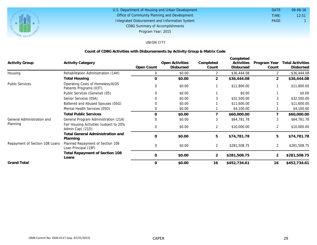

#### U.S. Department of Housing and Urban Development Office of Community Planning and Development Integrated Disbursement and Information System DATE: TIME: PAGE: 1 12:51 09-06-16 CDBG Summary of Accomplishments Program Year: 2015

## UNION CITY

## **Count of CDBG Activities with Disbursements by Activity Group & Matrix Code**

|                                |                                                             |               |                              |                    | Completed               |                       |                                      |
|--------------------------------|-------------------------------------------------------------|---------------|------------------------------|--------------------|-------------------------|-----------------------|--------------------------------------|
| <b>Activity Group</b>          | <b>Activity Category</b>                                    | Open Count    | Open Activities<br>Disbursed | Completed<br>Count | Activities<br>Disbursed | Program Year<br>Count | Total Activities<br><b>Disbursed</b> |
| Housing                        | Rehabilitation Administration (14H)                         | $\Omega$      | \$0.00                       | $\overline{2}$     | \$36,444.08             |                       | \$36,444.08                          |
|                                | <b>Total Housing</b>                                        | $\Omega$      | \$0.00                       | $\overline{2}$     | \$36,444.08             | 2                     | \$36,444.08                          |
| <b>Public Services</b>         | Operating Costs of Homeless/AIDS<br>Patients Programs (03T) | $\Omega$      | \$0.00                       |                    | \$11,800.00             |                       | \$11,800.00                          |
|                                | Public Services (General) (05)                              |               | \$0.00                       |                    | \$0.00                  |                       | \$0.00                               |
|                                | Senior Services (05A)                                       |               | \$0.00                       |                    | \$32,500.00             |                       | \$32,500.00                          |
|                                | Battered and Abused Spouses (05G)                           |               | \$0.00                       |                    | \$11,600.00             |                       | \$11,600.00                          |
|                                | Mental Health Services (050)                                | 0             | \$0.00                       |                    | \$4,100.00              |                       | \$4,100.00                           |
|                                | <b>Total Public Services</b>                                | $\Omega$      | \$0.00                       |                    | \$60,000.00             |                       | \$60,000.00                          |
| General Administration and     | General Program Administration (21A)                        |               | \$0.00                       | 3                  | \$64,781.78             |                       | \$64,781.78                          |
| Planning                       | Fair Housing Activities (subject to 20%<br>Admin Cap) (21D) | 0             | \$0.00                       | $\overline{2}$     | \$10,000.00             | $\overline{2}$        | \$10,000.00                          |
|                                | Total General Administration and<br>Planning                | $\Omega$      | \$0.00                       | 5                  | \$74,781.78             | 5                     | \$74,781.78                          |
| Repayment of Section 108 Loans | Planned Repayment of Section 108<br>Loan Principal (19F)    | $\Omega$      | \$0.00                       | 2                  | \$281,508.75            | 2                     | \$281,508.75                         |
|                                | Total Repayment of Section 108<br>Loans                     | $\mathcal{O}$ | \$0.00                       | 2                  | \$281,508.75            | 2                     | \$281,508.75                         |
| <b>Grand Total</b>             |                                                             | $\Omega$      | \$0.00                       | 16                 | \$452,734.61            | 16                    | \$452,734.61                         |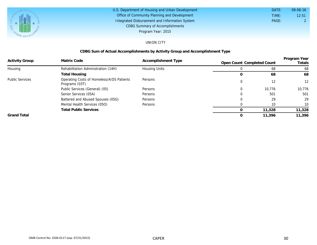

| U.S. Department of Housing and Urban Development | DATE: | $09 - 06 - 16$ |
|--------------------------------------------------|-------|----------------|
| Office of Community Planning and Development     | TIME: | 12:51          |
| Integrated Disbursement and Information System   | PAGE: |                |
| <b>CDBG Summary of Accomplishments</b>           |       |                |
| Program Year: 2015                               |       |                |

## UNION CITY

## **CDBG Sum of Actual Accomplishments by Activity Group and Accomplishment Type**

| <b>Activity Group</b>  | Matrix Code                                                 | Accomplishment Type  | Open Count Completed Count |        | Program Year<br>Totals |
|------------------------|-------------------------------------------------------------|----------------------|----------------------------|--------|------------------------|
| Housing                | Rehabilitation Administration (14H)                         | <b>Housing Units</b> |                            | 68     | 68                     |
|                        | Total Housing                                               |                      |                            | 68     | 68                     |
| <b>Public Services</b> | Operating Costs of Homeless/AIDS Patients<br>Programs (03T) | Persons              |                            | 12     | $12 \overline{ }$      |
|                        | Public Services (General) (05)                              | Persons              |                            | 10.776 | 10,776                 |
|                        | Senior Services (05A)                                       | Persons              |                            | 501    | 501                    |
|                        | Battered and Abused Spouses (05G)                           | Persons              |                            | 29     | 29                     |
|                        | Mental Health Services (050)                                | Persons              |                            | 10     | 10                     |
|                        | Total Public Services                                       |                      |                            | 11,328 | 11,328                 |
| <b>Grand Total</b>     |                                                             |                      |                            | 11,396 | 11,396                 |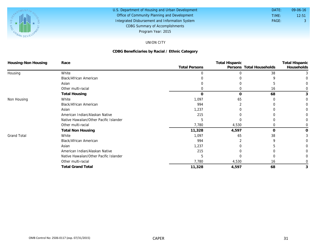

#### U.S. Department of Housing and Urban Development Office of Community Planning and Development Integrated Disbursement and Information System DATE: TIME: PAGE: 3 12:51 09-06-16 CDBG Summary of Accomplishments Program Year: 2015

## UNION CITY

## **CDBG Beneficiaries by Racial / Ethnic Category**

| Housing-Non Housing | Race                                   |                      | <b>Total Hispanic</b> |                          |            |  |
|---------------------|----------------------------------------|----------------------|-----------------------|--------------------------|------------|--|
|                     |                                        | <b>Total Persons</b> |                       | Persons Total Households | Households |  |
| Housing             | White                                  |                      |                       | 38                       |            |  |
|                     | <b>Black/African American</b>          |                      |                       |                          |            |  |
|                     | Asian                                  |                      |                       |                          |            |  |
|                     | Other multi-racial                     | 0                    |                       | 16                       |            |  |
|                     | <b>Total Housing</b>                   | O                    | $\Omega$              | 68                       |            |  |
| Non Housing         | White                                  | 1,097                | 65                    |                          |            |  |
|                     | <b>Black/African American</b>          | 994                  |                       |                          |            |  |
|                     | Asian                                  | 1,237                |                       |                          |            |  |
|                     | American Indian/Alaskan Native         | 215                  |                       |                          |            |  |
|                     | Native Hawaiian/Other Pacific Islander |                      |                       |                          |            |  |
|                     | Other multi-racial                     | 7,780                | 4,530                 |                          |            |  |
|                     | <b>Total Non Housing</b>               | 11,328               | 4,597                 | O                        |            |  |
| <b>Grand Total</b>  | White                                  | 1,097                | 65                    | 38                       |            |  |
|                     | <b>Black/African American</b>          | 994                  |                       | a                        |            |  |
|                     | Asian                                  | 1,237                |                       |                          |            |  |
|                     | American Indian/Alaskan Native         | 215                  |                       |                          |            |  |
|                     | Native Hawaiian/Other Pacific Islander |                      |                       |                          |            |  |
|                     | Other multi-racial                     | 7,780                | 4,530                 | 16                       |            |  |
|                     | <b>Total Grand Total</b>               | 11,328               | 4,597                 | 68                       |            |  |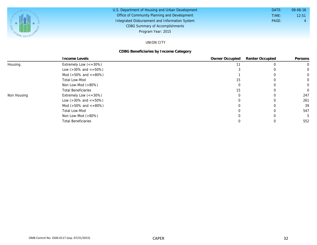

#### U.S. Department of Housing and Urban Development Office of Community Planning and Development Integrated Disbursement and Information System DATE: TIME: PAGE: 4 12:51 09-06-16 CDBG Summary of Accomplishments Program Year: 2015

## UNION CITY

## **CDBG Beneficiaries by Income Category**

|             | Income Levels                        | Owner Occupied | Renter Occupied | Persons  |
|-------------|--------------------------------------|----------------|-----------------|----------|
| Housing     | Extremely Low $\left(<=30\% \right)$ |                |                 |          |
|             | Low ( $>30\%$ and $\lt$ =50%)        |                |                 | $\Omega$ |
|             | Mod ( $>50\%$ and $<=80\%)$          |                |                 | 0        |
|             | Total Low-Mod                        |                |                 | 0        |
|             | Non Low-Mod $(>80\%)$                |                |                 | 0        |
|             | <b>Total Beneficiaries</b>           | 15             |                 | 0        |
| Non Housing | Extremely Low $\left(<=30\% \right)$ |                |                 | 247      |
|             | Low ( $>30\%$ and $\lt$ =50%)        |                |                 | 261      |
|             | Mod ( $>50\%$ and $<=80\%)$          |                |                 | 39       |
|             | Total Low-Mod                        |                |                 | 547      |
|             | Non Low-Mod $(>80\%)$                |                |                 |          |
|             | <b>Total Beneficiaries</b>           |                |                 | 552      |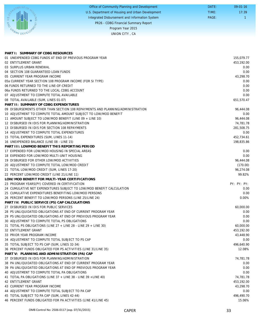|                    | Office of Community Planning and Development     | DATE: | $09 - 01 - 16$ |
|--------------------|--------------------------------------------------|-------|----------------|
|                    | U.S. Department of Housing and Urban Development | TIME: | 17:39          |
| U.S. $D_{\lambda}$ | Integrated Disbursement and Information System   | PAGE: |                |
| <b>AND</b>         | PR26 - CDBG Financial Summary Report             |       |                |
|                    | Program Year 2015                                |       |                |
| $\alpha_{A}$ where | UNION CITY, CA                                   |       |                |
|                    |                                                  |       |                |

| PART I: SUMMARY OF CDBG RESOURCES                                              |                      |
|--------------------------------------------------------------------------------|----------------------|
| 01 UNEXPENDED CDBG FUNDS AT END OF PREVIOUS PROGRAM YEAR                       | 155,079.77           |
| 02 ENTITLEMENT GRANT                                                           | 453.192.00           |
| 03 SURPLUS URBAN RENEWAL                                                       | 0.00                 |
| 04 SECTION 108 GUARANTEED LOAN FUNDS                                           | 0.00                 |
| 05 CURRENT YEAR PROGRAM INCOME                                                 | 43,298.70            |
| 05a CURRENT YEAR SECTION 108 PROGRAM INCOME (FOR SI TYPE)                      | 0.00                 |
| 06 FUNDS RETURNED TO THE LINE-OF-CREDIT                                        | 0.00                 |
| 06a FUNDS RETURNED TO THE LOCAL CDBG ACCOUNT                                   | 0.00                 |
| 07 ADJUSTMENT TO COMPUTE TOTAL AVAILABLE                                       | 0.00                 |
| 08 TOTAL AVAILABLE (SUM, LINES 01-07)                                          | 651,570.47           |
| PART II: SUMMARY OF CDBG EXPENDITURES                                          |                      |
| 09 DISBURSEMENTS OTHER THAN SECTION 108 REPAYMENTS AND PLANNING/ADMINISTRATION | 96,444.08            |
| 10 ADJUSTMENT TO COMPUTE TOTAL AMOUNT SUBJECT TO LOW/MOD BENEFIT               | 0.00                 |
| 11 AMOUNT SUBJECT TO LOW/MOD BENEFIT (LINE 09 + LINE 10)                       | 96,444.08            |
| 12 DISBURSED IN IDIS FOR PLANNING/ADMINISTRATION                               | 74,781.78            |
| 13 DISBURSED IN IDIS FOR SECTION 108 REPAYMENTS                                | 281,508.75           |
| 14 ADJUSTMENT TO COMPUTE TOTAL EXPENDITURES                                    | 0.00                 |
| 15 TOTAL EXPENDITURES (SUM, LINES 11-14)                                       | 452,734.61           |
| 16 UNEXPENDED BALANCE (LINE 08 - LINE 15)                                      | 198,835.86           |
| PART III: LOWMOD BENEFIT THIS REPORTING PERIOD                                 |                      |
| 17 EXPENDED FOR LOW/MOD HOUSING IN SPECIAL AREAS                               | 0.00                 |
| 18 EXPENDED FOR LOW/MOD MULTI-UNIT HOUSING                                     | 0.00                 |
| 19 DISBURSED FOR OTHER LOW/MOD ACTIVITIES                                      | 96,444.08            |
| 20 ADJUSTMENT TO COMPUTE TOTAL LOW/MOD CREDIT                                  | (170.00)             |
| 21 TOTAL LOW/MOD CREDIT (SUM, LINES 17-20)                                     | 96,274.08            |
| 22 PERCENT LOW/MOD CREDIT (LINE 21/LINE 11)                                    | 99.82%               |
| LOW/MOD BENEFIT FOR MULTI-YEAR CERTIFICATIONS                                  |                      |
| 23 PROGRAM YEARS(PY) COVERED IN CERTIFICATION                                  | PY: PY: PY:          |
| 24 CUMULATIVE NET EXPENDITURES SUBJECT TO LOW/MOD BENEFIT CALCULATION          | 0.00                 |
| 25 CUMULATIVE EXPENDITURES BENEFITING LOW/MOD PERSONS                          | 0.00                 |
| 26 PERCENT BENEFIT TO LOW/MOD PERSONS (LINE 25/LINE 24)                        | 0.00%                |
| PART IV: PUBLIC SERVICE (PS) CAP CALCULATIONS                                  |                      |
| 27 DISBURSED IN IDIS FOR PUBLIC SERVICES                                       | 60,000.00            |
| 28 PS UNLIQUIDATED OBLIGATIONS AT END OF CURRENT PROGRAM YEAR                  | 0.00                 |
| 29 PS UNLIQUIDATED OBLIGATIONS AT END OF PREVIOUS PROGRAM YEAR                 | 0.00                 |
| 30 ADJUSTMENT TO COMPUTE TOTAL PS OBLIGATIONS                                  | 0.00                 |
| 31 TOTAL PS OBLIGATIONS (LINE 27 + LINE 28 - LINE 29 + LINE 30)                | 60,000.00            |
| 32 ENTITLEMENT GRANT                                                           | 453,192.00           |
| 33 PRIOR YEAR PROGRAM INCOME                                                   | 43,448.90            |
| 34 ADJUSTMENT TO COMPUTE TOTAL SUBJECT TO PS CAP                               | 0.00                 |
| 35 TOTAL SUBJECT TO PS CAP (SUM, LINES 32-34)                                  | 496,640.90           |
| 36 PERCENT FUNDS OBLIGATED FOR PS ACTIVITIES (LINE 31/LINE 35)                 | 12.08%               |
| PART V: PLANNING AND ADMINISTRATION (PA) CAP                                   |                      |
| 37 DISBURSED IN IDIS FOR PLANNING/ADMINISTRATION                               | 74,781.78            |
| 38 PA UNLIQUIDATED OBLIGATIONS AT END OF CURRENT PROGRAM YEAR                  | 0.00                 |
| 39 PA UNLIQUIDATED OBLIGATIONS AT END OF PREVIOUS PROGRAM YEAR                 | 0.00                 |
| 40 ADJUSTMENT TO COMPUTE TOTAL PA OBLIGATIONS                                  | 0.00                 |
| 41 TOTAL PA OBLIGATIONS (LINE 37 + LINE 38 - LINE 39 + LINE 40)                | 74,781.78            |
| 42 ENTITLEMENT GRANT                                                           | 453,192.00           |
| 43 CURRENT YEAR PROGRAM INCOME                                                 | 43,298.70            |
| 44 ADJUSTMENT TO COMPUTE TOTAL SUBJECT TO PA CAP                               | 0.00                 |
| 45 TOTAL SUBJECT TO PA CAP (SUM, LINES 42-44)                                  |                      |
|                                                                                |                      |
| 46 PERCENT FUNDS OBLIGATED FOR PA ACTIVITIES (LINE 41/LINE 45)                 | 496,490.70<br>15.06% |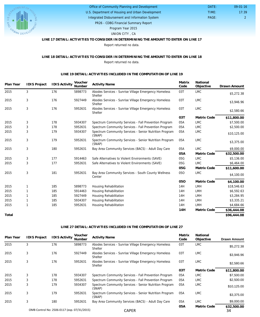

## U.S. Department of Housing and Urban Development Office of Community Planning and Development Integrated Disbursement and Information System

PAGE: 2 17:39 09-01-16

 DATE: TIME:

PR26 - CDBG Financial Summary Report

Program Year 2015

UNION CITY , CA

## **LINE 17 DETAIL: ACTIVITIES TO CONSIDER IN DETERMINING THE AMOUNT TO ENTER ON LINE 17**

Report returned no data.

### **LINE 18 DETAIL: ACTIVITIES TO CONSIDER IN DETERMINING THE AMOUNT TO ENTER ON LINE 18** Report returned no data.

#### **LINE 19 DETAIL: ACTIVITIES INCLUDED IN THE COMPUTATION OF LINE 19**

| Plan Year | <b>IDIS Project</b> | <b>IDIS Activity</b> | Voucher<br>Number | <b>Activity Name</b>                                                   | Matrix<br>Code | National<br>Objective | Drawn Amount |
|-----------|---------------------|----------------------|-------------------|------------------------------------------------------------------------|----------------|-----------------------|--------------|
| 2015      | 3                   | 176                  | 5898773           | Abodes Services - Sunrise Village Emergency Homeless<br><b>Shelter</b> | 03T            | <b>LMC</b>            | \$5,272.38   |
| 2015      | 3                   | 176                  | 5927449           | Abodes Services - Sunrise Village Emergency Homeless<br>Shelter        | 03T            | <b>LMC</b>            | \$3,946.96   |
| 2015      | 3                   | 176                  | 5952631           | Abodes Services - Sunrise Village Emergency Homeless<br>Shelter        | 03T            | <b>LMC</b>            | \$2,580.66   |
|           |                     |                      |                   |                                                                        | 03T            | Matrix Code           | \$11,800.00  |
| 2015      | 3                   | 178                  | 5934307           | Spectrum Community Services - Fall Prevention Program                  | 05A            | <b>LMC</b>            | \$7,500.00   |
| 2015      | 3                   | 178                  | 5952631           | Spectrum Community Services - Fall Prevention Program                  | 05A            | <b>LMC</b>            | \$2,500.00   |
| 2015      | 3                   | 179                  | 5934307           | Spectrum Community Services - Senior Nutrition Program<br>(SNAP)       | 05A            | <b>LMC</b>            | \$10,125.00  |
| 2015      | 3                   | 179                  | 5952631           | Spectrum Community Services - Senior Nutrition Program<br>(SNAP)       | 05A            | <b>LMC</b>            | \$3,375.00   |
| 2015      | 3                   | 180                  | 5952631           | Bay Area Community Services (BACS) - Adult Day Care                    | 05A            | <b>LMC</b>            | \$9,000.00   |
|           |                     |                      |                   |                                                                        | 05A            | Matrix Code           | \$32,500.00  |
| 2015      | 3                   | 177                  | 5914463           | Safe Alternatives to Violent Environments (SAVE)                       | 05G            | <b>LMC</b>            | \$5,136.00   |
| 2015      | 3                   | 177                  | 5952631           | Safe Alternatives to Violent Environments (SAVE)                       | 05G            | <b>LMC</b>            | \$6,464.00   |
|           |                     |                      |                   |                                                                        | 05G            | Matrix Code           | \$11,600.00  |
| 2015      | 3                   | 181                  | 5952631           | Bay Area Community Services - South County Wellness<br>Center          | 050            | <b>LMC</b>            | \$4,100.00   |
|           |                     |                      |                   |                                                                        | 050            | Matrix Code           | \$4,100.00   |
| 2015      | 1                   | 185                  | 5898773           | Housing Rehabilitation                                                 | 14H            | <b>LMH</b>            | \$18,546.63  |
| 2015      | 1                   | 185                  | 5914463           | Housing Rehabilitation                                                 | 14H            | <b>LMH</b>            | \$6,592.63   |
| 2015      |                     | 185                  | 5927449           | Housing Rehabilitation                                                 | 14H            | LMH                   | \$3,284.95   |
| 2015      |                     | 185                  | 5934307           | Housing Rehabilitation                                                 | 14H            | <b>LMH</b>            | \$3,335.21   |
| 2015      | 1                   | 185                  | 5952631           | Housing Rehabilitation                                                 | 14H            | <b>LMH</b>            | \$4,684.66   |
|           |                     |                      |                   |                                                                        | 14H            | Matrix Code           | \$36,444.08  |
| Total     |                     |                      |                   |                                                                        |                |                       | \$96,444.08  |

### **LINE 27 DETAIL: ACTIVITIES INCLUDED IN THE COMPUTATION OF LINE 27**

| Plan Year | <b>IDIS Project</b> | <b>IDIS Activity</b>                        | Voucher<br>Number | <b>Activity Name</b>                                                   | Matrix<br>Code | National<br>Objective | <b>Drawn Amount</b> |
|-----------|---------------------|---------------------------------------------|-------------------|------------------------------------------------------------------------|----------------|-----------------------|---------------------|
| 2015      | 3                   | 176                                         | 5898773           | Abodes Services - Sunrise Village Emergency Homeless<br>Shelter        | 03T            | <b>LMC</b>            | \$5,272.38          |
| 2015      | 3                   | 176                                         | 5927449           | Abodes Services - Sunrise Village Emergency Homeless<br>Shelter        | 03T            | <b>LMC</b>            | \$3,946.96          |
| 2015      | 3                   | 176                                         | 5952631           | Abodes Services - Sunrise Village Emergency Homeless<br><b>Shelter</b> | 03T            | <b>LMC</b>            | \$2,580.66          |
|           |                     |                                             |                   |                                                                        | 03T            | Matrix Code           | \$11,800.00         |
| 2015      | 3                   | 178                                         | 5934307           | Spectrum Community Services - Fall Prevention Program                  | 05A            | <b>LMC</b>            | \$7,500.00          |
| 2015      | 3                   | 178                                         | 5952631           | Spectrum Community Services - Fall Prevention Program                  | 05A            | <b>LMC</b>            | \$2,500.00          |
| 2015      | 3                   | 179                                         | 5934307           | Spectrum Community Services - Senior Nutrition Program<br>(SNAP)       | 05A            | <b>LMC</b>            | \$10,125.00         |
| 2015      | 3                   | 179                                         | 5952631           | Spectrum Community Services - Senior Nutrition Program<br>(SNAP)       | 05A            | <b>LMC</b>            | \$3,375.00          |
| 2015      | 3                   | 180                                         | 5952631           | Bay Area Community Services (BACS) - Adult Day Care                    | 05A            | <b>LMC</b>            | \$9,000.00          |
|           |                     | OMB Control No: 2506-0117 (exp. 07/31/2015) |                   | <b>CAPER</b>                                                           | 05A            | Matrix Code           | \$32,500.00<br>34   |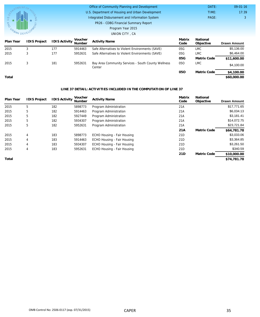|                |                     |                      |                   | Office of Community Planning and Development                  |                | DATE:                 | $09 - 01 - 16$      |
|----------------|---------------------|----------------------|-------------------|---------------------------------------------------------------|----------------|-----------------------|---------------------|
|                |                     |                      |                   | U.S. Department of Housing and Urban Development              |                | TIME:                 | 17:39               |
| SOUTHLINENT OF | Q                   |                      |                   | Integrated Disbursement and Information System                |                | PAGE:                 | 3                   |
| <b>ANA</b>     |                     |                      |                   | PR26 - CDBG Financial Summary Report                          |                |                       |                     |
|                |                     |                      |                   | Program Year 2015                                             |                |                       |                     |
| URBAN DEVEL    |                     |                      |                   | UNION CITY, CA                                                |                |                       |                     |
| Plan Year      | <b>IDIS Project</b> | <b>IDIS Activity</b> | Voucher<br>Number | <b>Activity Name</b>                                          | Matrix<br>Code | National<br>Objective | <b>Drawn Amount</b> |
| 2015           | 3                   | 177                  | 5914463           | Safe Alternatives to Violent Environments (SAVE)              | 05G            | <b>LMC</b>            | \$5,136.00          |
| 2015           | 3                   | 177                  | 5952631           | Safe Alternatives to Violent Environments (SAVE)              | 05G            | <b>LMC</b>            | \$6,464.00          |
|                |                     |                      |                   |                                                               | 05G            | Matrix Code           | \$11,600.00         |
| 2015           | 3                   | 181                  | 5952631           | Bay Area Community Services - South County Wellness<br>Center | 050            | <b>LMC</b>            | \$4,100.00          |
|                |                     |                      |                   |                                                               | 050            | Matrix Code           | \$4,100.00          |
| Total          |                     |                      |                   |                                                               |                |                       | \$60,000.00         |

### **LINE 37 DETAIL: ACTIVITIES INCLUDED IN THE COMPUTATION OF LINE 37**

| Plan Year | <b>IDIS Project</b> | <b>IDIS Activity</b> | Voucher<br>Number | <b>Activity Name</b>        | Matrix<br>Code  | National<br>Objective | <b>Drawn Amount</b> |
|-----------|---------------------|----------------------|-------------------|-----------------------------|-----------------|-----------------------|---------------------|
| 2015      | 5                   | 182                  | 5898773           | Program Administration      | 21A             |                       | \$17,771.65         |
| 2015      | 5                   | 182                  | 5914463           | Program Administration      | 21A             |                       | \$6,034.13          |
| 2015      | 5                   | 182                  | 5927449           | Program Administration      | 21A             |                       | \$3,181.41          |
| 2015      | 5                   | 182                  | 5934307           | Program Administration      | 21A             |                       | \$14,072.75         |
| 2015      | 5                   | 182                  | 5952631           | Program Administration      | 21A             |                       | \$23,721.84         |
|           |                     |                      |                   |                             | 21A             | Matrix Code           | \$64,781.78         |
| 2015      | 4                   | 183                  | 5898773           | ECHO Housing - Fair Housing | 21 <sub>D</sub> |                       | \$3,033.06          |
| 2015      | 4                   | 183                  | 5914463           | ECHO Housing - Fair Housing | 21 <sub>D</sub> |                       | \$3,364.85          |
| 2015      | 4                   | 183                  | 5934307           | ECHO Housing - Fair Housing | 21 <sub>D</sub> |                       | \$3,261.50          |
| 2015      | 4                   | 183                  | 5952631           | ECHO Housing - Fair Housing | 21 <sub>D</sub> |                       | \$340.59            |
|           |                     |                      |                   |                             | 21D             | Matrix Code           | \$10,000.00         |
| Total     |                     |                      |                   |                             |                 |                       | \$74,781.78         |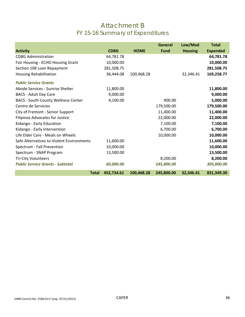## Attachment B FY 15-16 Summary of Expenditures

| <b>Activity</b>                            | <b>CDBG</b> | <b>HOME</b> | <b>General</b><br><b>Fund</b> | Low/Mod<br><b>Housing</b> | <b>Total</b><br><b>Expended</b> |
|--------------------------------------------|-------------|-------------|-------------------------------|---------------------------|---------------------------------|
| <b>CDBG Administration</b>                 | 64,781.78   |             |                               |                           | 64,781.78                       |
| Fair Housing - ECHO Housing Grant          | 10,000.00   |             |                               |                           | 10,000.00                       |
| Section 108 Loan Repayment                 | 281,508.75  |             |                               |                           | 281,508.75                      |
| Housing Rehabilitation                     | 36,444.08   | 100,468.28  |                               | 32,346.41                 | 169,258.77                      |
| <b>Public Service Grants</b>               |             |             |                               |                           |                                 |
| Abode Services - Sunrise Shelter           | 11,800.00   |             |                               |                           | 11,800.00                       |
| <b>BACS - Adult Day Care</b>               | 9,000.00    |             |                               |                           | 9,000.00                        |
| <b>BACS - South County Wellness Center</b> | 4,100.00    |             | 900.00                        |                           | 5,000.00                        |
| Centro de Servicios                        |             |             | 179,500.00                    |                           | 179,500.00                      |
| City of Fremont - Senior Support           |             |             | 11,400.00                     |                           | 11,400.00                       |
| <b>Filipinos Advocates for Justice</b>     |             |             | 22,000.00                     |                           | 22,000.00                       |
| Kidango - Early Education                  |             |             | 7,100.00                      |                           | 7,100.00                        |
| Kidango - Early Intervention               |             |             | 6,700.00                      |                           | 6,700.00                        |
| Life Elder Care - Meals on Wheels          |             |             | 10,000.00                     |                           | 10,000.00                       |
| Safe Alternatives to Violent Environments  | 11,600.00   |             |                               |                           | 11,600.00                       |
| Spectrum - Fall Prevention                 | 10,000.00   |             |                               |                           | 10,000.00                       |
| Spectrum - SNAP Program                    | 13,500.00   |             |                               |                           | 13,500.00                       |
| <b>Tri-City Volunteers</b>                 |             |             | 8,200.00                      |                           | 8,200.00                        |
| <b>Public Service Grants - Subtotal</b>    | 60,000.00   |             | 245,800.00                    |                           | 305,800.00                      |
| <b>Total</b>                               | 452,734.61  | 100,468.28  | 245,800.00                    | 32,346.41                 | 831,349.30                      |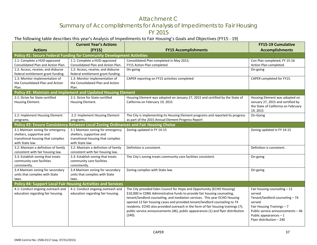## Attachment C Summary of Accomplishments for Analysis of Impediments to Fair Housing FY 2015

## The following table describes this year's Analysis of Impediments to Fair Housing's Goals and Objectives (FY15 ‐ 19)

|                                                                    | <b>Current Year's Actions</b>                                                         |                                                                                   | <b>FY15-19 Cumulative</b>                           |
|--------------------------------------------------------------------|---------------------------------------------------------------------------------------|-----------------------------------------------------------------------------------|-----------------------------------------------------|
| <b>Actions</b>                                                     | (FY15)                                                                                | <b>FY15 Accomplishments</b>                                                       | <b>Accomplishments</b>                              |
|                                                                    | Policy #1: Secure Federal Funding for Community Development Activities                |                                                                                   |                                                     |
| 1.1: Complete a HUD-approved                                       | 1.1: Complete a HUD-approved                                                          | Consolidated Plan completed in May 2015;                                          | Con Plan completed; FY 15-16                        |
| Consolidated Plan and Action Plan.                                 | Consolidated Plan and Action Plan.                                                    | FY15 Action Plan completed                                                        | Action Plan completed                               |
| 1:2: Access, receive, and disburse                                 | 1:2: Access, receive, and disburse                                                    | On-going                                                                          | On-going                                            |
| federal entitlement grant funding.                                 | federal entitlement grant funding.                                                    |                                                                                   |                                                     |
| 1.3: Monitor implementation of<br>the Consolidated Plan and Action | 1.3: Monitor implementation of<br>the Consolidated Plan and Action                    | CAPER reporting on FY15 activities completed                                      | CAPER completed for FY15.                           |
| Plan.                                                              | Plan.                                                                                 |                                                                                   |                                                     |
|                                                                    | Policy #2: Maintain and Implement and Updated Housing Element                         |                                                                                   |                                                     |
| 2:1: Strive for State-certified                                    | 2:1: Strive for State-certified                                                       | Housing Element was adopted on January 27, 2015 and certified by the State of     | Housing Element was adopted on                      |
| Housing Element.                                                   | Housing Element.                                                                      | California on February 19, 2015                                                   | January 27, 2015 and certified by                   |
|                                                                    |                                                                                       |                                                                                   | the State of California on February                 |
|                                                                    |                                                                                       |                                                                                   | 19, 2015                                            |
| 2.2: Implement Housing Element                                     | 2.2: Implement Housing Element                                                        | The City is implementing its Housing Element programs and reported its progress   | On-Going                                            |
| programs.                                                          | programs.                                                                             | as part of the 2015 Annual Element Progress Report                                |                                                     |
|                                                                    | Policy #3: Ensure Consistency Between Local Zoning Ordinances and Fair Housing Choice |                                                                                   |                                                     |
| 3.1 Maintain zoning for emergency                                  | 3.1 Maintain zoning for emergency                                                     | Zoning updated in FY 14-15                                                        | Zoning updated in FY 14-15                          |
| shelters, supportive and                                           | shelters, supportive and                                                              |                                                                                   |                                                     |
| transitional housing that complies                                 | transitional housing that complies                                                    |                                                                                   |                                                     |
| with State law.                                                    | with State law.                                                                       |                                                                                   |                                                     |
| 3.2: Maintain a definition of family                               | 3.2: Maintain a definition of family                                                  | Definition is consistent.                                                         | Definition is consistent.                           |
| consistent with fair housing law.                                  | consistent with fair housing law.                                                     |                                                                                   |                                                     |
| 3.3: Establish zoning that treats<br>community care facilities     | 3.3: Establish zoning that treats<br>community care facilities                        | The City's zoning treats community care facilities consistent.                    | On-going                                            |
| consistently.                                                      | consistently.                                                                         |                                                                                   |                                                     |
| 3.4 Maintain zoning for secondary                                  | 3.4 Maintain zoning for secondary                                                     | Zoning complies with State law.                                                   | On-going                                            |
| units that complies with State                                     | units that complies with State                                                        |                                                                                   |                                                     |
| laws.                                                              | laws.                                                                                 |                                                                                   |                                                     |
|                                                                    | <b>Policy #4: Support Local Fair Housing Activities and Services</b>                  |                                                                                   |                                                     |
| 4.1: Conduct ongoing outreach and                                  | 4.1: Conduct ongoing outreach and                                                     | The City provided Eden Council for Hope and Opportunity (ECHO Housing)            | Fair housing counseling $-12$                       |
| education regarding fair housing.                                  | education regarding fair housing.                                                     | \$10,000 in CDBG Administrative funds to provide fair housing counseling,         | served                                              |
|                                                                    |                                                                                       | tenant/landlord counseling, and mediation services. This year ECHO Housing        | Tenant/landlord counseling - 74                     |
|                                                                    |                                                                                       | opened 12 fair housing cases and provided tenant/landlord counseling to 74        | served                                              |
|                                                                    |                                                                                       | residents. ECHO also provided outreach in the form of fair housing trainings (7), | Fair Housing Trainings - 7                          |
|                                                                    |                                                                                       | public service announcements (46), public appearances (1) and flyer distribution  | Public service announcements - 46                   |
|                                                                    |                                                                                       | (240).                                                                            | Public appearances $-1$<br>Flyer distribution - 240 |
|                                                                    |                                                                                       |                                                                                   |                                                     |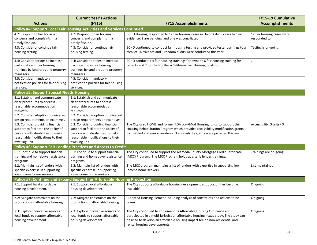|                                                                           | <b>Current Year's Actions</b>                                           |                                                                                                                                                         | <b>FY15-19 Cumulative</b>       |  |  |
|---------------------------------------------------------------------------|-------------------------------------------------------------------------|---------------------------------------------------------------------------------------------------------------------------------------------------------|---------------------------------|--|--|
| <b>Actions</b>                                                            | (FY15)                                                                  | <b>FY15 Accomplishments</b>                                                                                                                             | <b>Accomplishments</b>          |  |  |
| Policy #4: Support Local Fair Housing Activities and Services Continued   |                                                                         |                                                                                                                                                         |                                 |  |  |
| 4.2: Respond to fair housing                                              | 4.2: Respond to fair housing                                            | ECHO Housing responded to 12 fair housing cases in Union City. 9 cases had no                                                                           | 12 fair housing cases were      |  |  |
| concerns and complaints in a                                              | concerns and complaints in a                                            | evidence, 2 are pending, and one was conciliated.                                                                                                       | responded to.                   |  |  |
| timely fashion.<br>4.3: Consider or continue fair                         | timely fashion.<br>4.3: Consider or continue fair                       |                                                                                                                                                         |                                 |  |  |
| housing testing                                                           | housing testing.                                                        | ECHO continued to conduct fair housing testing and provided tester trainings to a<br>total of 14 trainees and 8 random audits were conducted this year. | Testing is on-going.            |  |  |
| 4.4: Consider options to increase                                         | 4.4: Consider options to increase                                       | ECHO conducted 4 fair housing trainings for owners; 6 fair housing training for                                                                         |                                 |  |  |
| participation in fair housing                                             | participation in fair housing                                           | tenants and 2 for the Northern California Fair Housing Coalition.                                                                                       |                                 |  |  |
| trainings by landlords and property                                       | trainings by landlords and property                                     |                                                                                                                                                         |                                 |  |  |
| managers.                                                                 | managers.                                                               |                                                                                                                                                         |                                 |  |  |
| 4.5: Consider mandatory                                                   | 4.5: Consider mandatory                                                 |                                                                                                                                                         |                                 |  |  |
| notification policies for fair housing                                    | notification policies for fair housing                                  |                                                                                                                                                         |                                 |  |  |
| services.                                                                 | services.                                                               |                                                                                                                                                         |                                 |  |  |
| <b>Policy #5: Support Special Needs Housing</b>                           |                                                                         |                                                                                                                                                         |                                 |  |  |
| 5.1: Establish and communicate                                            | 5.1: Establish and communicate                                          |                                                                                                                                                         |                                 |  |  |
| clear procedures to address                                               | clear procedures to address                                             |                                                                                                                                                         |                                 |  |  |
| reasonable accommodation                                                  | reasonable accommodation                                                |                                                                                                                                                         |                                 |  |  |
| requests.                                                                 | requests.                                                               |                                                                                                                                                         |                                 |  |  |
| 5.2: Consider adoption of universal                                       | 5.2: Consider adoption of universal                                     |                                                                                                                                                         |                                 |  |  |
| design requirements or incentives.                                        | design requirements or incentives.<br>5.3: Consider providing financial | The City used HOME and former RDA Low/Mod Housing funds to support the                                                                                  | <b>Accessibility Grants - 3</b> |  |  |
| 5.3: Consider providing financial<br>support to facilitate the ability of | support to facilitate the ability of                                    | Housing Rehabilitation Program which provides accessibility modification grants                                                                         |                                 |  |  |
| persons with disabilities to make                                         | persons with disabilities to make                                       | to disabled and senior residents. 3 accessibility grants were provided this year.                                                                       |                                 |  |  |
| reasonable modifications to their                                         | reasonable modifications to their                                       |                                                                                                                                                         |                                 |  |  |
| dwelling unit.                                                            | dwelling unit.                                                          |                                                                                                                                                         |                                 |  |  |
|                                                                           | <b>Policy #6: Support Fair Lending Practices and Access to Credit</b>   |                                                                                                                                                         |                                 |  |  |
| 6.1: Continue to support financial                                        | 6.1: Continue to support financial                                      | The City continued to support the Alameda County Mortgage Credit Certificate                                                                            | Trainings are on-going          |  |  |
| training and homebuyer assistance                                         | training and homebuyer assistance                                       | (MCC) Program. The MCC Program holds quarterly lender trainings.                                                                                        |                                 |  |  |
| programs.                                                                 | programs.                                                               |                                                                                                                                                         |                                 |  |  |
| 6.2: Maintain list of lenders with                                        | 6.2: Maintain list of lenders with                                      | The MCC program maintains a list of lenders with expertise in supporting low-                                                                           | List maintained                 |  |  |
| specific expertise in supporting                                          | specific expertise in supporting                                        | income home seekers.                                                                                                                                    |                                 |  |  |
| low-income home seekers.                                                  | low-income home seekers.                                                |                                                                                                                                                         |                                 |  |  |
| Policy #7: Continue and Expand Support for Affordable Housing Production  |                                                                         |                                                                                                                                                         |                                 |  |  |
| 7.1: Support local affordable                                             | 7.1: Support local affordable                                           | The City supports affordable housing development as opportunities become                                                                                | On-going                        |  |  |
| housing development.                                                      | housing development.                                                    | available.                                                                                                                                              |                                 |  |  |
|                                                                           |                                                                         |                                                                                                                                                         |                                 |  |  |
| 7.2: Mitigate constraints on the                                          | 7.2: Mitigate constraints on the                                        | Adopted Housing Element including analysis of constraints and actions to be                                                                             | On-going                        |  |  |
| production of affordable housing.                                         | production of affordable housing                                        | taken.                                                                                                                                                  |                                 |  |  |
| 7.3: Explore innovative sources of                                        | 7.3: Explore innovative sources of                                      | The City continued to implement its Affordable Housing Ordinance and                                                                                    | On-going                        |  |  |
| local funds to support affordable                                         | local funds to support affordable                                       | participated in a multi-jurisdiction affordable housing nexus study. The study can                                                                      |                                 |  |  |
| housing development.                                                      | housing development.                                                    | be used to develop an affordable housing impact fee on non-residential and                                                                              |                                 |  |  |
|                                                                           |                                                                         | rental housing developments.                                                                                                                            |                                 |  |  |